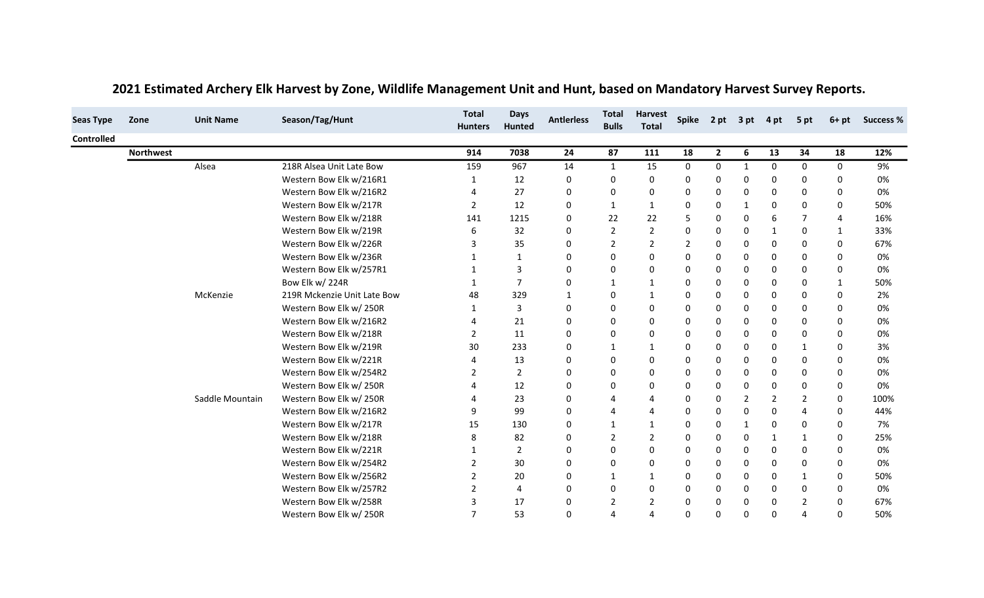| <b>Seas Type</b>  | Zone             | <b>Unit Name</b> | Season/Tag/Hunt             | <b>Total</b><br><b>Hunters</b> | <b>Days</b><br>Hunted | <b>Antierless</b> | <b>Total</b><br><b>Bulls</b> | <b>Harvest</b><br><b>Total</b> |                | Spike 2 pt 3 pt |              | 4 pt         | 5 pt           | $6+pt$      | <b>Success %</b> |
|-------------------|------------------|------------------|-----------------------------|--------------------------------|-----------------------|-------------------|------------------------------|--------------------------------|----------------|-----------------|--------------|--------------|----------------|-------------|------------------|
| <b>Controlled</b> |                  |                  |                             |                                |                       |                   |                              |                                |                |                 |              |              |                |             |                  |
|                   | <b>Northwest</b> |                  |                             | 914                            | 7038                  | 24                | 87                           | 111                            | 18             | $\overline{2}$  | 6            | 13           | 34             | 18          | 12%              |
|                   |                  | Alsea            | 218R Alsea Unit Late Bow    | 159                            | 967                   | 14                | $\mathbf{1}$                 | 15                             | 0              | 0               | $\mathbf{1}$ | 0            | 0              | 0           | 9%               |
|                   |                  |                  | Western Bow Elk w/216R1     |                                | 12                    | 0                 | 0                            | $\mathbf 0$                    | $\mathbf 0$    | $\Omega$        | 0            | 0            | 0              | $\Omega$    | 0%               |
|                   |                  |                  | Western Bow Elk w/216R2     |                                | 27                    | 0                 | 0                            | 0                              | $\Omega$       | 0               | 0            | $\Omega$     | 0              | 0           | 0%               |
|                   |                  |                  | Western Bow Elk w/217R      | 2                              | 12                    | 0                 | 1                            |                                | 0              | 0               | 1            | 0            | 0              | 0           | 50%              |
|                   |                  |                  | Western Bow Elk w/218R      | 141                            | 1215                  | 0                 | 22                           | 22                             | 5              | 0               | 0            | 6            | 7              | 4           | 16%              |
|                   |                  |                  | Western Bow Elk w/219R      |                                | 32                    | 0                 | $\overline{2}$               | $\overline{2}$                 | $\Omega$       | $\Omega$        | 0            | $\mathbf{1}$ | 0              | 1           | 33%              |
|                   |                  |                  | Western Bow Elk w/226R      | 3                              | 35                    | 0                 | 2                            | 2                              | $\overline{2}$ | $\Omega$        | 0            | 0            | 0              | 0           | 67%              |
|                   |                  |                  | Western Bow Elk w/236R      |                                | 1                     | 0                 | 0                            | $\mathbf 0$                    | $\mathbf 0$    | 0               | 0            | 0            | 0              | 0           | 0%               |
|                   |                  |                  | Western Bow Elk w/257R1     |                                | 3                     | 0                 | 0                            | $\Omega$                       | $\Omega$       | 0               | 0            | 0            | 0              | 0           | 0%               |
|                   |                  |                  | Bow Elk w/ 224R             |                                | $\overline{7}$        | 0                 | 1                            |                                | 0              | $\Omega$        | $\Omega$     | $\Omega$     | 0              | 1           | 50%              |
|                   |                  | McKenzie         | 219R Mckenzie Unit Late Bow | 48                             | 329                   | 1                 | 0                            |                                | $\mathbf 0$    | 0               | 0            | 0            | 0              | 0           | 2%               |
|                   |                  |                  | Western Bow Elk w/250R      |                                | 3                     | 0                 | 0                            | 0                              | 0              | 0               | 0            | 0            | 0              | 0           | 0%               |
|                   |                  |                  | Western Bow Elk w/216R2     |                                | 21                    | 0                 | 0                            | 0                              | 0              | $\Omega$        | $\Omega$     | $\Omega$     | 0              | 0           | 0%               |
|                   |                  |                  | Western Bow Elk w/218R      | 2                              | 11                    | 0                 | 0                            | 0                              | $\mathbf 0$    | 0               | 0            | 0            | 0              | 0           | 0%               |
|                   |                  |                  | Western Bow Elk w/219R      | 30                             | 233                   | 0                 | 1                            |                                | 0              | 0               | 0            | 0            | $\mathbf{1}$   | 0           | 3%               |
|                   |                  |                  | Western Bow Elk w/221R      |                                | 13                    | 0                 | 0                            | 0                              | 0              | 0               | 0            | 0            | 0              | 0           | 0%               |
|                   |                  |                  | Western Bow Elk w/254R2     | 2                              | $\overline{2}$        | 0                 | 0                            | $\mathbf 0$                    | $\mathbf 0$    | 0               | 0            | 0            | 0              | 0           | 0%               |
|                   |                  |                  | Western Bow Elk w/250R      |                                | 12                    | 0                 | 0                            | 0                              | $\mathbf 0$    | 0               | $\Omega$     | $\mathbf{0}$ | 0              | 0           | 0%               |
|                   |                  | Saddle Mountain  | Western Bow Elk w/250R      |                                | 23                    | 0                 | 4                            | 4                              | 0              | 0               | 2            | 2            | 2              | 0           | 100%             |
|                   |                  |                  | Western Bow Elk w/216R2     |                                | 99                    | 0                 | 4                            |                                | $\mathbf 0$    | 0               | 0            | $\Omega$     | 4              | 0           | 44%              |
|                   |                  |                  | Western Bow Elk w/217R      | 15                             | 130                   | 0                 | 1                            |                                | $\Omega$       | 0               | $\mathbf{1}$ | $\Omega$     | 0              | 0           | 7%               |
|                   |                  |                  | Western Bow Elk w/218R      |                                | 82                    | 0                 | 2                            | 2                              | 0              | $\Omega$        | 0            | 1            | $\mathbf 1$    | 0           | 25%              |
|                   |                  |                  | Western Bow Elk w/221R      |                                | $\overline{2}$        | 0                 | 0                            | $\mathbf 0$                    | 0              | 0               | 0            | 0            | 0              | 0           | 0%               |
|                   |                  |                  | Western Bow Elk w/254R2     | $\overline{2}$                 | 30                    | 0                 | 0                            | 0                              | 0              | $\Omega$        | $\mathbf{0}$ | $\mathbf{0}$ | 0              | 0           | 0%               |
|                   |                  |                  | Western Bow Elk w/256R2     | 2                              | 20                    | 0                 | 1                            | 1                              | 0              | $\Omega$        | 0            | 0            | $\mathbf 1$    | 0           | 50%              |
|                   |                  |                  | Western Bow Elk w/257R2     | 2                              | 4                     | 0                 | 0                            | 0                              | 0              | 0               | 0            | 0            | 0              | 0           | 0%               |
|                   |                  |                  | Western Bow Elk w/258R      | 3                              | 17                    | 0                 | 2                            | 2                              | $\Omega$       | 0               | $\Omega$     | $\mathbf{0}$ | $\overline{2}$ | $\Omega$    | 67%              |
|                   |                  |                  | Western Bow Elk w/250R      | $\overline{7}$                 | 53                    | $\Omega$          | Δ                            | $\boldsymbol{\Delta}$          | $\Omega$       | $\Omega$        | $\Omega$     | $\Omega$     | 4              | $\mathbf 0$ | 50%              |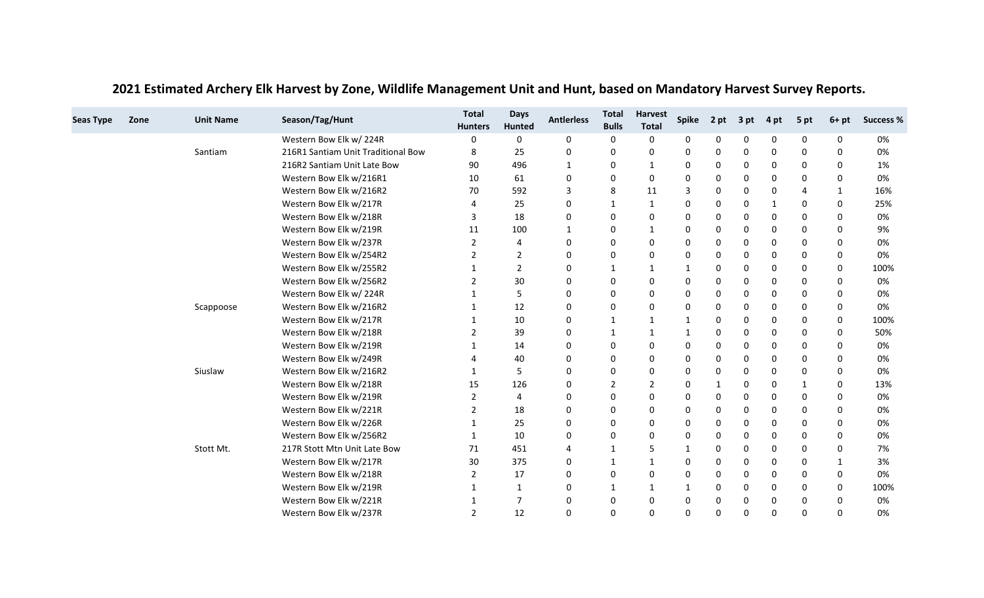| <b>Seas Type</b> | Zone | <b>Unit Name</b> | Season/Tag/Hunt                    | <b>Total</b><br><b>Hunters</b> | <b>Days</b><br><b>Hunted</b> | <b>Antierless</b> | <b>Total</b><br><b>Bulls</b> | <b>Harvest</b><br><b>Total</b> | <b>Spike</b> | 2 pt | 3 pt     | 4 pt     | 5 pt                  | $6+pt$      | <b>Success %</b> |
|------------------|------|------------------|------------------------------------|--------------------------------|------------------------------|-------------------|------------------------------|--------------------------------|--------------|------|----------|----------|-----------------------|-------------|------------------|
|                  |      |                  | Western Bow Elk w/224R             | 0                              | 0                            | 0                 | 0                            | 0                              | 0            | 0    | 0        | 0        | 0                     | 0           | 0%               |
|                  |      | Santiam          | 216R1 Santiam Unit Traditional Bow | 8                              | 25                           | 0                 | 0                            | 0                              | 0            | 0    | 0        | 0        | 0                     | $\Omega$    | 0%               |
|                  |      |                  | 216R2 Santiam Unit Late Bow        | 90                             | 496                          | 1                 | 0                            | 1                              | 0            | 0    | 0        | 0        | 0                     | $\Omega$    | 1%               |
|                  |      |                  | Western Bow Elk w/216R1            | 10                             | 61                           | 0                 | 0                            | 0                              | 0            | 0    | 0        | 0        | $\Omega$              | 0           | 0%               |
|                  |      |                  | Western Bow Elk w/216R2            | 70                             | 592                          | 3                 | 8                            | 11                             | 3            | 0    | 0        | 0        | $\boldsymbol{\Delta}$ | $\mathbf 1$ | 16%              |
|                  |      |                  | Western Bow Elk w/217R             | 4                              | 25                           | 0                 | $\mathbf{1}$                 | 1                              | 0            | 0    | 0        | 1        | $\Omega$              | 0           | 25%              |
|                  |      |                  | Western Bow Elk w/218R             | 3                              | 18                           | 0                 | 0                            | 0                              | $\mathbf 0$  | 0    | 0        | 0        | $\mathbf 0$           | $\Omega$    | 0%               |
|                  |      |                  | Western Bow Elk w/219R             | 11                             | 100                          | 1                 | 0                            |                                | 0            | 0    | 0        | 0        | 0                     | 0           | 9%               |
|                  |      |                  | Western Bow Elk w/237R             | 2                              | 4                            | 0                 | 0                            | 0                              | 0            | 0    | 0        | 0        | 0                     | 0           | 0%               |
|                  |      |                  | Western Bow Elk w/254R2            | 2                              | 2                            | 0                 | 0                            | 0                              | $\Omega$     | 0    | 0        | 0        | 0                     | 0           | 0%               |
|                  |      |                  | Western Bow Elk w/255R2            |                                | $\overline{2}$               | 0                 | 1                            | 1                              | -1           | 0    | 0        | 0        | $\mathbf 0$           | 0           | 100%             |
|                  |      |                  | Western Bow Elk w/256R2            | 2                              | 30                           | 0                 | 0                            | 0                              | 0            | 0    | 0        | 0        | 0                     | 0           | 0%               |
|                  |      |                  | Western Bow Elk w/224R             |                                | 5                            | 0                 | 0                            | 0                              | 0            | 0    | 0        | 0        | 0                     | $\Omega$    | 0%               |
|                  |      | Scappoose        | Western Bow Elk w/216R2            |                                | 12                           | 0                 | 0                            | 0                              | 0            | 0    | 0        | 0        | 0                     | 0           | 0%               |
|                  |      |                  | Western Bow Elk w/217R             |                                | 10                           | 0                 | 1                            | 1                              | -1           | 0    | 0        | 0        | 0                     | 0           | 100%             |
|                  |      |                  | Western Bow Elk w/218R             | 2                              | 39                           | 0                 | 1                            | $\mathbf{1}$                   | $\mathbf 1$  | 0    | 0        | $\Omega$ | 0                     | $\Omega$    | 50%              |
|                  |      |                  | Western Bow Elk w/219R             |                                | 14                           | 0                 | 0                            | 0                              | 0            | 0    | 0        | 0        | 0                     | 0           | 0%               |
|                  |      |                  | Western Bow Elk w/249R             | 4                              | 40                           | 0                 | 0                            | 0                              | $\mathbf 0$  | 0    | 0        | 0        | 0                     | $\Omega$    | 0%               |
|                  |      | Siuslaw          | Western Bow Elk w/216R2            |                                | 5                            | 0                 | 0                            | 0                              | 0            | 0    | 0        | 0        | 0                     | 0           | 0%               |
|                  |      |                  | Western Bow Elk w/218R             | 15                             | 126                          | 0                 | 2                            | 2                              | $\mathbf 0$  | 1    | 0        | $\Omega$ | $\mathbf{1}$          | 0           | 13%              |
|                  |      |                  | Western Bow Elk w/219R             | 2                              | 4                            | 0                 | 0                            | 0                              | 0            | 0    | 0        | 0        | 0                     | 0           | 0%               |
|                  |      |                  | Western Bow Elk w/221R             | 2                              | 18                           | 0                 | 0                            | 0                              | 0            | 0    | 0        | $\Omega$ | 0                     | $\Omega$    | 0%               |
|                  |      |                  | Western Bow Elk w/226R             | 1                              | 25                           | 0                 | 0                            | 0                              | 0            | 0    | 0        | 0        | 0                     | 0           | 0%               |
|                  |      |                  | Western Bow Elk w/256R2            | 1                              | 10                           | 0                 | 0                            | 0                              | $\Omega$     | 0    | 0        | 0        | 0                     | $\Omega$    | 0%               |
|                  |      | Stott Mt.        | 217R Stott Mtn Unit Late Bow       | 71                             | 451                          | 4                 | 1                            | 5                              | 1            | 0    | 0        | 0        | $\mathbf 0$           | 0           | 7%               |
|                  |      |                  | Western Bow Elk w/217R             | 30                             | 375                          | 0                 | $\mathbf{1}$                 | $\mathbf{1}$                   | 0            | 0    | 0        | 0        | 0                     | -1          | 3%               |
|                  |      |                  | Western Bow Elk w/218R             | 2                              | 17                           | 0                 | 0                            | 0                              | $\mathbf 0$  | 0    | 0        | 0        | 0                     | 0           | 0%               |
|                  |      |                  | Western Bow Elk w/219R             | 1                              | 1                            | 0                 | 1                            | 1                              | -1           | 0    | 0        | 0        | 0                     | 0           | 100%             |
|                  |      |                  | Western Bow Elk w/221R             | 1                              | $\overline{7}$               | 0                 | 0                            | 0                              | 0            | 0    | 0        | 0        | 0                     | $\Omega$    | 0%               |
|                  |      |                  | Western Bow Elk w/237R             | $\overline{2}$                 | 12                           | 0                 | 0                            | 0                              | 0            | 0    | $\Omega$ | $\Omega$ | $\Omega$              | $\Omega$    | 0%               |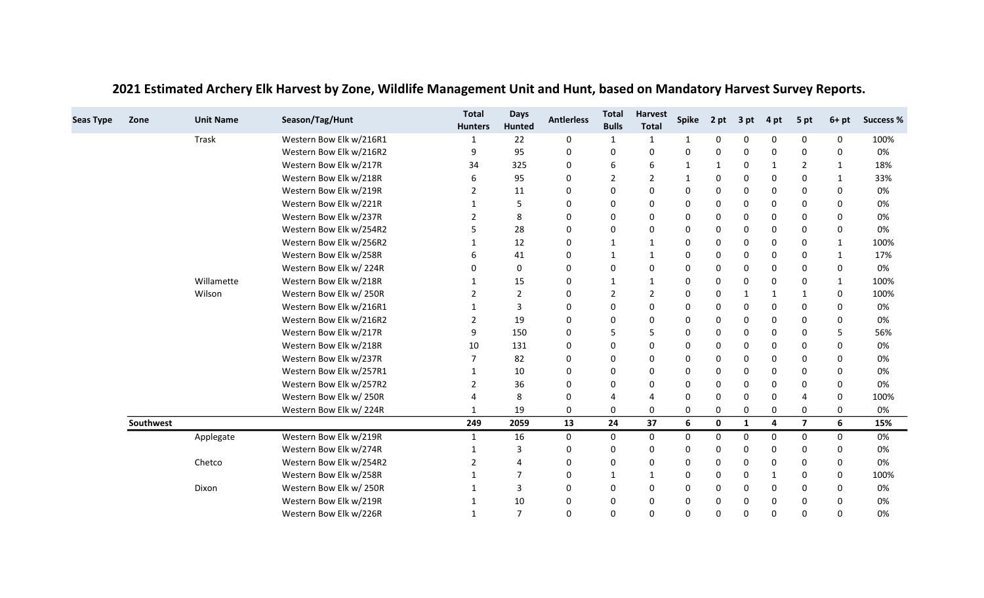| <b>Seas Type</b> | Zone      | <b>Unit Name</b> | Season/Tag/Hunt         | <b>Total</b><br><b>Hunters</b> | <b>Days</b><br>Hunted | <b>Antierless</b> | <b>Total</b><br><b>Bulls</b> | <b>Harvest</b><br><b>Total</b> | <b>Spike</b> | 2 pt | 3 pt | 4 pt | 5 pt           | $6+pt$       | <b>Success %</b> |
|------------------|-----------|------------------|-------------------------|--------------------------------|-----------------------|-------------------|------------------------------|--------------------------------|--------------|------|------|------|----------------|--------------|------------------|
|                  |           | <b>Trask</b>     | Western Bow Elk w/216R1 |                                | 22                    | 0                 | 1                            | $\mathbf{1}$                   | 1            | 0    | 0    | 0    | 0              | 0            | 100%             |
|                  |           |                  | Western Bow Elk w/216R2 | 9                              | 95                    | 0                 | 0                            | 0                              | 0            | 0    | 0    | 0    | $\mathbf 0$    | 0            | 0%               |
|                  |           |                  | Western Bow Elk w/217R  | 34                             | 325                   | 0                 | 6                            | 6                              | $\mathbf 1$  | 1    | 0    | 1    | 2              | 1            | 18%              |
|                  |           |                  | Western Bow Elk w/218R  | 6                              | 95                    | 0                 | 2                            | $\overline{2}$                 | 1            | 0    | 0    | 0    | 0              |              | 33%              |
|                  |           |                  | Western Bow Elk w/219R  | $\overline{2}$                 | 11                    | 0                 | 0                            | 0                              | 0            | 0    | 0    | 0    | 0              | $\Omega$     | 0%               |
|                  |           |                  | Western Bow Elk w/221R  |                                | 5                     | 0                 | 0                            | 0                              | 0            | 0    | 0    | 0    | 0              | 0            | 0%               |
|                  |           |                  | Western Bow Elk w/237R  | $\overline{2}$                 | 8                     | 0                 | 0                            | 0                              | 0            | 0    | 0    | 0    | 0              | 0            | 0%               |
|                  |           |                  | Western Bow Elk w/254R2 | 5                              | 28                    | 0                 | 0                            | 0                              | $\Omega$     | 0    | 0    | 0    | $\mathbf 0$    | $\mathbf 0$  | 0%               |
|                  |           |                  | Western Bow Elk w/256R2 |                                | 12                    | 0                 | 1                            | 1                              | 0            | 0    | 0    | 0    | 0              | 1            | 100%             |
|                  |           |                  | Western Bow Elk w/258R  | 6                              | 41                    | 0                 | $\mathbf{1}$                 | $\mathbf{1}$                   | 0            | 0    | 0    | 0    | 0              | $\mathbf{1}$ | 17%              |
|                  |           |                  | Western Bow Elk w/224R  | 0                              | $\pmb{0}$             | 0                 | 0                            | 0                              | 0            | 0    | 0    | 0    | $\mathbf 0$    | 0            | 0%               |
|                  |           | Willamette       | Western Bow Elk w/218R  |                                | 15                    | 0                 | 1                            | $\mathbf{1}$                   | 0            | 0    | 0    | 0    | 0              | 1            | 100%             |
|                  |           | Wilson           | Western Bow Elk w/250R  | $\overline{2}$                 | $\overline{2}$        | 0                 | $\overline{2}$               | $\overline{2}$                 | $\Omega$     | 0    | 1    | 1    | 1              | 0            | 100%             |
|                  |           |                  | Western Bow Elk w/216R1 |                                | 3                     | 0                 | 0                            | 0                              | 0            | 0    | 0    | 0    | 0              | 0            | 0%               |
|                  |           |                  | Western Bow Elk w/216R2 | $\overline{2}$                 | 19                    | 0                 | 0                            | 0                              | 0            | 0    | 0    | 0    | 0              | 0            | 0%               |
|                  |           |                  | Western Bow Elk w/217R  | 9                              | 150                   | 0                 | 5                            | 5                              | 0            | 0    | 0    | 0    | 0              | 5            | 56%              |
|                  |           |                  | Western Bow Elk w/218R  | 10                             | 131                   | 0                 | 0                            | 0                              | 0            | 0    | 0    | 0    | 0              | 0            | 0%               |
|                  |           |                  | Western Bow Elk w/237R  |                                | 82                    | 0                 | 0                            | 0                              | 0            | 0    | 0    | 0    | 0              | 0            | 0%               |
|                  |           |                  | Western Bow Elk w/257R1 | $\mathbf{1}$                   | 10                    | 0                 | 0                            | 0                              | $\Omega$     | 0    | 0    | 0    | $\mathbf 0$    | $\Omega$     | 0%               |
|                  |           |                  | Western Bow Elk w/257R2 | 2                              | 36                    | 0                 | 0                            | 0                              | 0            | 0    | 0    | 0    | 0              | 0            | 0%               |
|                  |           |                  | Western Bow Elk w/250R  |                                | 8                     | 0                 | 4                            | 4                              | 0            | 0    | 0    | 0    | $\overline{4}$ | 0            | 100%             |
|                  |           |                  | Western Bow Elk w/224R  | $\mathbf{1}$                   | 19                    | 0                 | 0                            | 0                              | 0            | 0    | 0    | 0    | $\mathbf 0$    | 0            | 0%               |
|                  | Southwest |                  |                         | 249                            | 2059                  | 13                | 24                           | 37                             | 6            | 0    | 1    | 4    | $\overline{7}$ | 6            | 15%              |
|                  |           | Applegate        | Western Bow Elk w/219R  | $\mathbf{1}$                   | 16                    | 0                 | 0                            | 0                              | $\Omega$     | 0    | 0    | 0    | 0              | 0            | 0%               |
|                  |           |                  | Western Bow Elk w/274R  |                                | 3                     | 0                 | 0                            | 0                              | 0            | 0    | 0    | 0    | 0              | $\Omega$     | 0%               |
|                  |           | Chetco           | Western Bow Elk w/254R2 | 2                              | $\overline{4}$        | 0                 | 0                            | 0                              | 0            | 0    | 0    | 0    | 0              | 0            | 0%               |
|                  |           |                  | Western Bow Elk w/258R  |                                | 7                     | 0                 | 1                            | $\mathbf{1}$                   | 0            | 0    | 0    | 1    | 0              | 0            | 100%             |
|                  |           | Dixon            | Western Bow Elk w/250R  |                                | 3                     | 0                 | 0                            | 0                              | 0            | 0    | 0    | 0    | 0              | 0            | 0%               |
|                  |           |                  | Western Bow Elk w/219R  |                                | 10                    | 0                 | 0                            | 0                              | 0            | 0    | 0    | 0    | 0              | $\Omega$     | 0%               |
|                  |           |                  | Western Bow Elk w/226R  | $\mathbf{1}$                   | $\overline{7}$        | $\mathbf 0$       | 0                            | 0                              | $\Omega$     | 0    | 0    | 0    | $\mathbf 0$    | $\Omega$     | 0%               |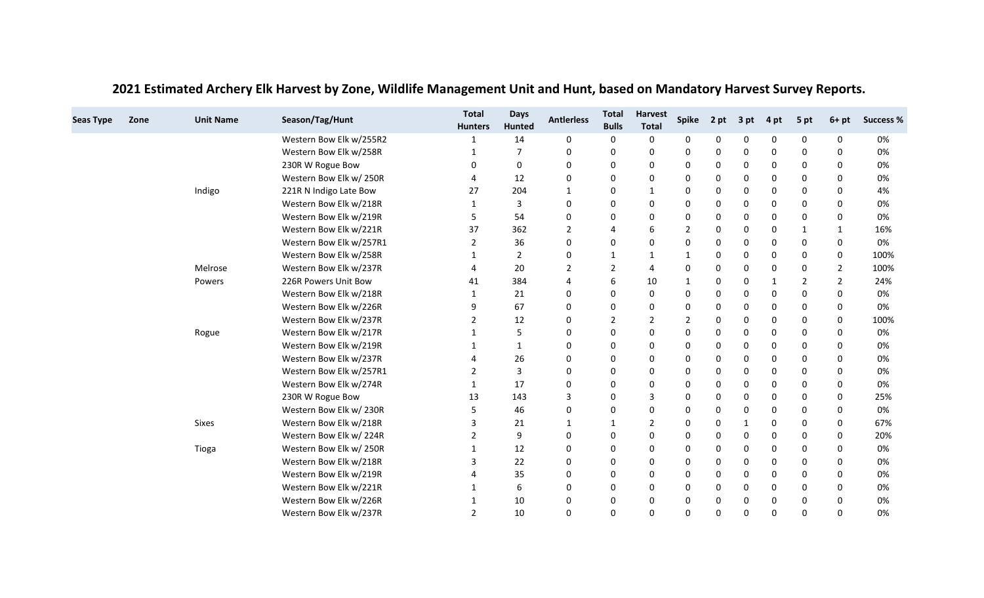| <b>Seas Type</b> | Zone | <b>Unit Name</b> | Season/Tag/Hunt         | <b>Total</b><br><b>Hunters</b> | <b>Days</b><br>Hunted | <b>Antierless</b> | <b>Total</b><br><b>Bulls</b> | <b>Harvest</b><br><b>Total</b> | <b>Spike</b> | 2 pt | 3 pt | 4 pt     | 5 pt        | $6+pt$      | <b>Success %</b> |
|------------------|------|------------------|-------------------------|--------------------------------|-----------------------|-------------------|------------------------------|--------------------------------|--------------|------|------|----------|-------------|-------------|------------------|
|                  |      |                  | Western Bow Elk w/255R2 |                                | 14                    | 0                 | 0                            | 0                              | 0            | 0    | 0    | 0        | 0           | 0           | 0%               |
|                  |      |                  | Western Bow Elk w/258R  |                                | $\overline{7}$        | 0                 | 0                            | 0                              | 0            | 0    | 0    | 0        | $\mathbf 0$ | 0           | 0%               |
|                  |      |                  | 230R W Rogue Bow        | 0                              | 0                     | 0                 | 0                            | 0                              | 0            | 0    | 0    | 0        | 0           | 0           | 0%               |
|                  |      |                  | Western Bow Elk w/250R  | 4                              | 12                    | 0                 | 0                            | 0                              | 0            | 0    | 0    | 0        | 0           | 0           | 0%               |
|                  |      | Indigo           | 221R N Indigo Late Bow  | 27                             | 204                   | $\mathbf 1$       | 0                            | $\mathbf{1}$                   | 0            | 0    | 0    | 0        | 0           | 0           | 4%               |
|                  |      |                  | Western Bow Elk w/218R  | 1                              | 3                     | 0                 | 0                            | 0                              | 0            | 0    | 0    | 0        | 0           | 0           | 0%               |
|                  |      |                  | Western Bow Elk w/219R  | 5                              | 54                    | 0                 | 0                            | 0                              | $\Omega$     | 0    | 0    | 0        | 0           | $\mathbf 0$ | 0%               |
|                  |      |                  | Western Bow Elk w/221R  | 37                             | 362                   | 2                 | $\overline{4}$               | 6                              | 2            | 0    | 0    | 0        | $\mathbf 1$ | 1           | 16%              |
|                  |      |                  | Western Bow Elk w/257R1 | 2                              | 36                    | 0                 | 0                            | 0                              | $\Omega$     | 0    | 0    | 0        | 0           | 0           | 0%               |
|                  |      |                  | Western Bow Elk w/258R  | 1                              | $\overline{2}$        | 0                 | 1                            | 1                              | 1            | 0    | 0    | 0        | 0           | 0           | 100%             |
|                  |      | Melrose          | Western Bow Elk w/237R  | 4                              | 20                    | 2                 | 2                            | 4                              | 0            | 0    | 0    | 0        | 0           | 2           | 100%             |
|                  |      | Powers           | 226R Powers Unit Bow    | 41                             | 384                   | 4                 | 6                            | 10                             | 1            | 0    | 0    | 1        | 2           | 2           | 24%              |
|                  |      |                  | Western Bow Elk w/218R  |                                | 21                    | 0                 | 0                            | 0                              | $\Omega$     | 0    | 0    | 0        | 0           | $\Omega$    | 0%               |
|                  |      |                  | Western Bow Elk w/226R  | 9                              | 67                    | 0                 | 0                            | 0                              | 0            | 0    | 0    | 0        | 0           | 0           | 0%               |
|                  |      |                  | Western Bow Elk w/237R  | 2                              | 12                    | 0                 | $\overline{2}$               | $\overline{2}$                 | 2            | 0    | 0    | 0        | 0           | $\mathbf 0$ | 100%             |
|                  |      | Rogue            | Western Bow Elk w/217R  |                                | 5                     | 0                 | $\mathbf 0$                  | 0                              | 0            | 0    | 0    | 0        | 0           | $\Omega$    | 0%               |
|                  |      |                  | Western Bow Elk w/219R  | 1                              | 1                     | 0                 | 0                            | 0                              | 0            | 0    | 0    | 0        | 0           | 0           | 0%               |
|                  |      |                  | Western Bow Elk w/237R  | 4                              | 26                    | 0                 | $\mathbf 0$                  | 0                              | $\Omega$     | 0    | 0    | 0        | 0           | $\Omega$    | 0%               |
|                  |      |                  | Western Bow Elk w/257R1 | $\overline{2}$                 | 3                     | 0                 | 0                            | 0                              | 0            | 0    | 0    | 0        | $\mathbf 0$ | 0           | 0%               |
|                  |      |                  | Western Bow Elk w/274R  | 1                              | 17                    | $\Omega$          | $\mathbf 0$                  | 0                              | 0            | 0    | 0    | 0        | 0           | 0           | 0%               |
|                  |      |                  | 230R W Rogue Bow        | 13                             | 143                   | 3                 | 0                            | 3                              | 0            | 0    | 0    | 0        | 0           | 0           | 25%              |
|                  |      |                  | Western Bow Elk w/230R  | 5                              | 46                    | 0                 | $\mathbf 0$                  | 0                              | 0            | 0    | 0    | 0        | $\mathbf 0$ | 0           | 0%               |
|                  |      | <b>Sixes</b>     | Western Bow Elk w/218R  | 3                              | 21                    | 1                 | 1                            | $\overline{2}$                 | 0            | 0    | 1    | 0        | 0           | 0           | 67%              |
|                  |      |                  | Western Bow Elk w/224R  | $\overline{2}$                 | 9                     | 0                 | $\mathbf 0$                  | 0                              | $\Omega$     | 0    | 0    | 0        | 0           | $\Omega$    | 20%              |
|                  |      | Tioga            | Western Bow Elk w/250R  | 1                              | 12                    | 0                 | 0                            | 0                              | 0            | 0    | 0    | 0        | $\mathbf 0$ | 0           | 0%               |
|                  |      |                  | Western Bow Elk w/218R  | 3                              | 22                    | $\Omega$          | $\Omega$                     | 0                              | 0            | 0    | 0    | 0        | 0           | 0           | 0%               |
|                  |      |                  | Western Bow Elk w/219R  |                                | 35                    | 0                 | 0                            | 0                              | 0            | 0    | 0    | 0        | 0           | $\Omega$    | 0%               |
|                  |      |                  | Western Bow Elk w/221R  | 1                              | 6                     | 0                 | 0                            | 0                              | 0            | 0    | 0    | 0        | 0           | 0           | 0%               |
|                  |      |                  | Western Bow Elk w/226R  |                                | 10                    | 0                 | 0                            | 0                              | 0            | 0    | 0    | 0        | 0           | $\Omega$    | 0%               |
|                  |      |                  | Western Bow Elk w/237R  | 2                              | 10                    | $\Omega$          | $\mathbf 0$                  | $\Omega$                       | $\Omega$     | 0    | 0    | $\Omega$ | $\Omega$    | $\Omega$    | 0%               |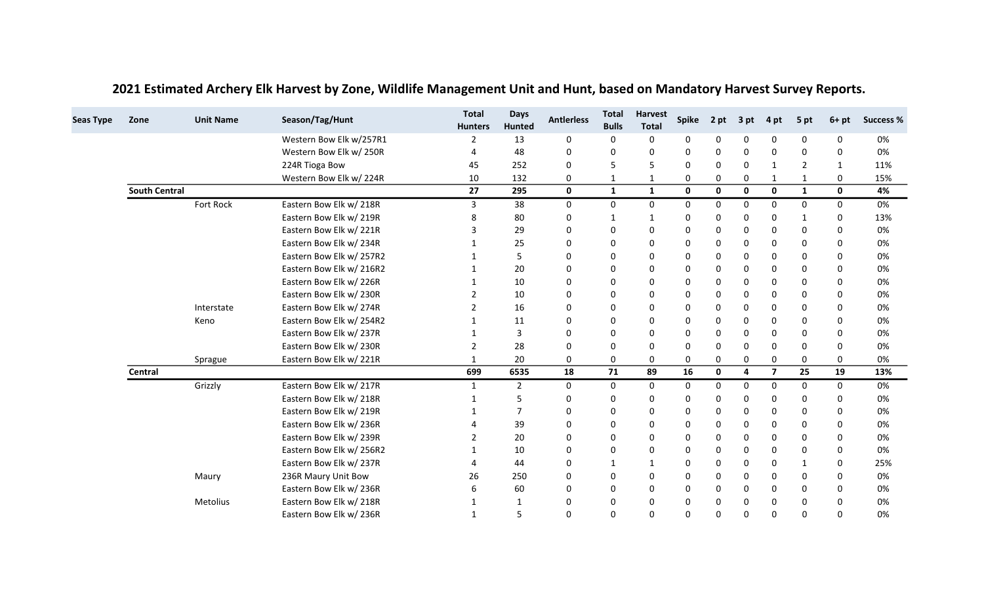| <b>Seas Type</b> | Zone                 | <b>Unit Name</b> | Season/Tag/Hunt          | <b>Total</b><br><b>Hunters</b> | <b>Days</b><br><b>Hunted</b> | <b>Antierless</b> | <b>Total</b><br><b>Bulls</b> | <b>Harvest</b><br><b>Total</b> | <b>Spike</b> | 2 pt         | 3 pt        | 4 pt           | 5 pt           | $6+pt$       | <b>Success %</b> |
|------------------|----------------------|------------------|--------------------------|--------------------------------|------------------------------|-------------------|------------------------------|--------------------------------|--------------|--------------|-------------|----------------|----------------|--------------|------------------|
|                  |                      |                  | Western Bow Elk w/257R1  | 2                              | 13                           | 0                 | 0                            | 0                              | 0            | 0            | 0           | 0              | 0              | $\Omega$     | 0%               |
|                  |                      |                  | Western Bow Elk w/ 250R  | 4                              | 48                           | 0                 | 0                            | 0                              | 0            | $\Omega$     | 0           | $\Omega$       | $\Omega$       | $\mathbf{0}$ | 0%               |
|                  |                      |                  | 224R Tioga Bow           | 45                             | 252                          | 0                 | 5                            | 5                              | 0            | 0            | 0           | -1             | $\overline{2}$ | 1            | 11%              |
|                  |                      |                  | Western Bow Elk w/224R   | 10                             | 132                          | 0                 | $\mathbf{1}$                 | 1                              | 0            | 0            | 0           | 1              | $\mathbf{1}$   | 0            | 15%              |
|                  | <b>South Central</b> |                  |                          | 27                             | 295                          | $\mathbf 0$       | $\mathbf{1}$                 | $\mathbf{1}$                   | $\mathbf 0$  | $\mathbf{0}$ | $\mathbf 0$ | $\mathbf{0}$   | 1              | $\mathbf{0}$ | 4%               |
|                  |                      | Fort Rock        | Eastern Bow Elk w/ 218R  | 3                              | 38                           | 0                 | 0                            | 0                              | 0            | 0            | 0           | $\Omega$       | 0              | 0            | 0%               |
|                  |                      |                  | Eastern Bow Elk w/ 219R  | 8                              | 80                           | 0                 | $\mathbf 1$                  | $\mathbf{1}$                   | 0            | 0            | 0           | 0              | 1              | 0            | 13%              |
|                  |                      |                  | Eastern Bow Elk w/221R   | 3                              | 29                           | 0                 | 0                            | 0                              | $\mathbf 0$  | 0            | 0           | $\Omega$       | 0              | 0            | 0%               |
|                  |                      |                  | Eastern Bow Elk w/ 234R  |                                | 25                           | 0                 | 0                            | 0                              | 0            | 0            | 0           | 0              | 0              | 0            | 0%               |
|                  |                      |                  | Eastern Bow Elk w/ 257R2 |                                | 5                            | 0                 | 0                            | 0                              | $\mathbf 0$  | 0            | 0           | $\Omega$       | $\Omega$       | $\Omega$     | 0%               |
|                  |                      |                  | Eastern Bow Elk w/ 216R2 |                                | 20                           | 0                 | 0                            | 0                              | $\mathbf 0$  | 0            | 0           | $\Omega$       | 0              | 0            | 0%               |
|                  |                      |                  | Eastern Bow Elk w/226R   |                                | 10                           | 0                 | 0                            | 0                              | 0            | 0            | 0           | 0              | 0              | 0            | 0%               |
|                  |                      |                  | Eastern Bow Elk w/ 230R  | $\mathfrak{p}$                 | 10                           | 0                 | 0                            | 0                              | $\mathbf 0$  | $\Omega$     | $\Omega$    | $\Omega$       | $\Omega$       | $\Omega$     | 0%               |
|                  |                      | Interstate       | Eastern Bow Elk w/ 274R  | 2                              | 16                           | 0                 | 0                            | 0                              | $\mathbf 0$  | $\Omega$     | 0           | $\Omega$       | 0              | 0            | 0%               |
|                  |                      | Keno             | Eastern Bow Elk w/ 254R2 | -1                             | 11                           | 0                 | 0                            | 0                              | $\Omega$     | 0            | 0           | $\Omega$       | 0              | 0            | 0%               |
|                  |                      |                  | Eastern Bow Elk w/ 237R  | 1                              | 3                            | 0                 | 0                            | 0                              | $\mathbf 0$  | $\Omega$     | 0           | $\Omega$       | $\Omega$       | $\Omega$     | 0%               |
|                  |                      |                  | Eastern Bow Elk w/ 230R  | 2                              | 28                           | 0                 | 0                            | 0                              | 0            | $\Omega$     | 0           | 0              | 0              | 0            | 0%               |
|                  |                      | Sprague          | Eastern Bow Elk w/221R   | 1                              | 20                           | 0                 | 0                            | 0                              | 0            | 0            | 0           | 0              | 0              | $\mathbf{0}$ | 0%               |
|                  | Central              |                  |                          | 699                            | 6535                         | 18                | 71                           | 89                             | 16           | $\mathbf 0$  | 4           | $\overline{7}$ | 25             | 19           | 13%              |
|                  |                      | Grizzly          | Eastern Bow Elk w/ 217R  | 1                              | 2                            | 0                 | 0                            | 0                              | 0            | $\Omega$     | 0           | $\Omega$       | 0              | 0            | 0%               |
|                  |                      |                  | Eastern Bow Elk w/ 218R  |                                | 5                            | 0                 | 0                            | 0                              | 0            | $\Omega$     | 0           | $\Omega$       | 0              | 0            | 0%               |
|                  |                      |                  | Eastern Bow Elk w/ 219R  |                                | $\overline{7}$               | 0                 | 0                            | 0                              | $\mathbf 0$  | 0            | 0           | $\Omega$       | 0              | 0            | 0%               |
|                  |                      |                  | Eastern Bow Elk w/ 236R  | 4                              | 39                           | 0                 | 0                            | 0                              | 0            | $\Omega$     | 0           | $\Omega$       | $\Omega$       | $\mathbf{0}$ | 0%               |
|                  |                      |                  | Eastern Bow Elk w/ 239R  | $\mathcal{P}$                  | 20                           | 0                 | 0                            | 0                              | $\Omega$     | $\Omega$     | 0           | $\Omega$       | $\Omega$       | $\Omega$     | 0%               |
|                  |                      |                  | Eastern Bow Elk w/ 256R2 |                                | 10                           | 0                 | 0                            | 0                              | 0            | 0            | 0           | $\Omega$       | 0              | 0            | 0%               |
|                  |                      |                  | Eastern Bow Elk w/ 237R  | 4                              | 44                           | 0                 | 1                            | 1                              | 0            | 0            | 0           | 0              | 1              | 0            | 25%              |
|                  |                      | Maury            | 236R Maury Unit Bow      | 26                             | 250                          | 0                 | 0                            | 0                              | $\Omega$     | $\Omega$     | 0           | $\Omega$       | $\Omega$       | $\mathbf{0}$ | 0%               |
|                  |                      |                  | Eastern Bow Elk w/ 236R  | 6                              | 60                           | 0                 | 0                            | 0                              | 0            | 0            | 0           | $\Omega$       | 0              | 0            | 0%               |
|                  |                      | Metolius         | Eastern Bow Elk w/ 218R  | -1                             | 1                            | 0                 | 0                            | 0                              | 0            | 0            | 0           | 0              | 0              | 0            | 0%               |
|                  |                      |                  | Eastern Bow Elk w/236R   | $\mathbf{1}$                   | 5                            | $\Omega$          | $\Omega$                     | 0                              | $\Omega$     | $\Omega$     | $\Omega$    | $\Omega$       | $\Omega$       | $\Omega$     | 0%               |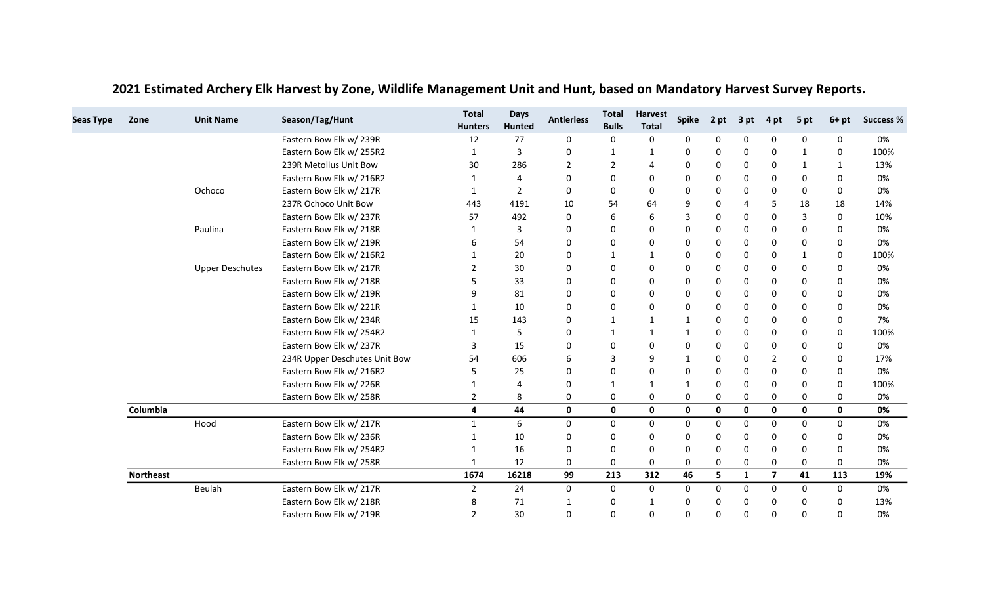| <b>Seas Type</b> | Zone             | <b>Unit Name</b>       | Season/Tag/Hunt               | <b>Total</b><br><b>Hunters</b> | <b>Days</b><br><b>Hunted</b> | <b>Antierless</b> | <b>Total</b><br><b>Bulls</b> | <b>Harvest</b><br><b>Total</b> | <b>Spike</b> | 2 pt | 3 pt         | 4 pt           | 5 pt         | $6+pt$       | <b>Success %</b> |
|------------------|------------------|------------------------|-------------------------------|--------------------------------|------------------------------|-------------------|------------------------------|--------------------------------|--------------|------|--------------|----------------|--------------|--------------|------------------|
|                  |                  |                        | Eastern Bow Elk w/ 239R       | 12                             | 77                           | 0                 | 0                            | 0                              | 0            | 0    | 0            | 0              | 0            | 0            | 0%               |
|                  |                  |                        | Eastern Bow Elk w/ 255R2      | $\mathbf{1}$                   | $\overline{3}$               | 0                 | 1                            | $\mathbf{1}$                   | 0            | 0    | 0            | 0              | $\mathbf{1}$ | 0            | 100%             |
|                  |                  |                        | 239R Metolius Unit Bow        | 30                             | 286                          | 2                 | $\overline{2}$               | 4                              | 0            | 0    | 0            | 0              | 1            | 1            | 13%              |
|                  |                  |                        | Eastern Bow Elk w/ 216R2      | 1                              | $\overline{4}$               | 0                 | 0                            | 0                              | 0            | 0    | 0            | 0              | 0            | 0            | 0%               |
|                  |                  | Ochoco                 | Eastern Bow Elk w/ 217R       | $\mathbf{1}$                   | $\overline{2}$               | 0                 | 0                            | 0                              | $\Omega$     | 0    | 0            | 0              | $\mathbf 0$  | 0            | 0%               |
|                  |                  |                        | 237R Ochoco Unit Bow          | 443                            | 4191                         | 10                | 54                           | 64                             | 9            | 0    | 4            | 5              | 18           | 18           | 14%              |
|                  |                  |                        | Eastern Bow Elk w/237R        | 57                             | 492                          | 0                 | 6                            | 6                              | 3            | 0    | 0            | 0              | 3            | 0            | 10%              |
|                  |                  | Paulina                | Eastern Bow Elk w/ 218R       | 1                              | 3                            | 0                 | 0                            | 0                              | 0            | 0    | 0            | 0              | 0            | 0            | 0%               |
|                  |                  |                        | Eastern Bow Elk w/ 219R       | 6                              | 54                           | 0                 | 0                            | 0                              | 0            | 0    | 0            | 0              | 0            | 0            | 0%               |
|                  |                  |                        | Eastern Bow Elk w/ 216R2      | 1                              | 20                           | 0                 | 1                            | $\mathbf{1}$                   | 0            | 0    | 0            | 0              | 1            | 0            | 100%             |
|                  |                  | <b>Upper Deschutes</b> | Eastern Bow Elk w/ 217R       | $\overline{2}$                 | 30                           | $\mathbf 0$       | 0                            | 0                              | 0            | 0    | 0            | 0              | 0            | $\Omega$     | 0%               |
|                  |                  |                        | Eastern Bow Elk w/ 218R       | 5                              | 33                           | 0                 | 0                            | 0                              | 0            | 0    | 0            | 0              | 0            | 0            | 0%               |
|                  |                  |                        | Eastern Bow Elk w/ 219R       | q                              | 81                           | 0                 | 0                            | 0                              | 0            | 0    | 0            | 0              | 0            | $\Omega$     | 0%               |
|                  |                  |                        | Eastern Bow Elk w/221R        | $\mathbf 1$                    | 10                           | $\mathbf 0$       | 0                            | 0                              | 0            | 0    | 0            | 0              | $\mathbf 0$  | 0            | 0%               |
|                  |                  |                        | Eastern Bow Elk w/234R        | 15                             | 143                          | 0                 | 1                            | 1                              | 1            | 0    | 0            | 0              | 0            | 0            | 7%               |
|                  |                  |                        | Eastern Bow Elk w/ 254R2      | 1                              | 5                            | 0                 | 1                            | $\mathbf{1}$                   | 1            | 0    | 0            | 0              | 0            | 0            | 100%             |
|                  |                  |                        | Eastern Bow Elk w/ 237R       | 3                              | 15                           | $\mathbf 0$       | 0                            | 0                              | $\Omega$     | 0    | 0            | 0              | 0            | 0            | 0%               |
|                  |                  |                        | 234R Upper Deschutes Unit Bow | 54                             | 606                          | 6                 | 3                            | 9                              | 1            | 0    | 0            | 2              | 0            | 0            | 17%              |
|                  |                  |                        | Eastern Bow Elk w/ 216R2      | 5                              | 25                           | 0                 | 0                            | 0                              | 0            | 0    | 0            | 0              | 0            | 0            | 0%               |
|                  |                  |                        | Eastern Bow Elk w/226R        | 1                              | 4                            | 0                 | 1                            | 1                              | 1            | 0    | 0            | 0              | $\mathbf 0$  | 0            | 100%             |
|                  |                  |                        | Eastern Bow Elk w/ 258R       | 2                              | 8                            | 0                 | 0                            | 0                              | 0            | 0    | 0            | 0              | 0            | 0            | 0%               |
|                  | Columbia         |                        |                               | $\overline{a}$                 | 44                           | $\mathbf{0}$      | $\mathbf 0$                  | $\mathbf{0}$                   | $\mathbf{0}$ | 0    | $\mathbf{0}$ | 0              | $\mathbf 0$  | $\mathbf{0}$ | 0%               |
|                  |                  | Hood                   | Eastern Bow Elk w/ 217R       | 1                              | 6                            | 0                 | 0                            | 0                              | 0            | 0    | 0            | 0              | 0            | 0            | 0%               |
|                  |                  |                        | Eastern Bow Elk w/236R        | 1                              | 10                           | 0                 | 0                            | 0                              | 0            | 0    | 0            | 0              | 0            | 0            | 0%               |
|                  |                  |                        | Eastern Bow Elk w/ 254R2      | 1                              | 16                           | 0                 | 0                            | 0                              | 0            | 0    | 0            | 0              | 0            | $\Omega$     | 0%               |
|                  |                  |                        | Eastern Bow Elk w/ 258R       | 1                              | 12                           | 0                 | 0                            | 0                              | 0            | 0    | 0            | 0              | $\mathbf 0$  | 0            | 0%               |
|                  | <b>Northeast</b> |                        |                               | 1674                           | 16218                        | 99                | 213                          | 312                            | 46           | 5    | 1            | $\overline{7}$ | 41           | 113          | 19%              |
|                  |                  | Beulah                 | Eastern Bow Elk w/ 217R       | $\overline{2}$                 | 24                           | 0                 | 0                            | 0                              | 0            | 0    | 0            | 0              | 0            | 0            | 0%               |
|                  |                  |                        | Eastern Bow Elk w/ 218R       | 8                              | 71                           | 1                 | 0                            | $\mathbf 1$                    | 0            | 0    | 0            | 0              | 0            | 0            | 13%              |
|                  |                  |                        | Eastern Bow Elk w/ 219R       | 2                              | 30                           | $\Omega$          | $\mathbf 0$                  | $\Omega$                       | 0            | 0    | 0            | 0              | $\Omega$     | $\Omega$     | 0%               |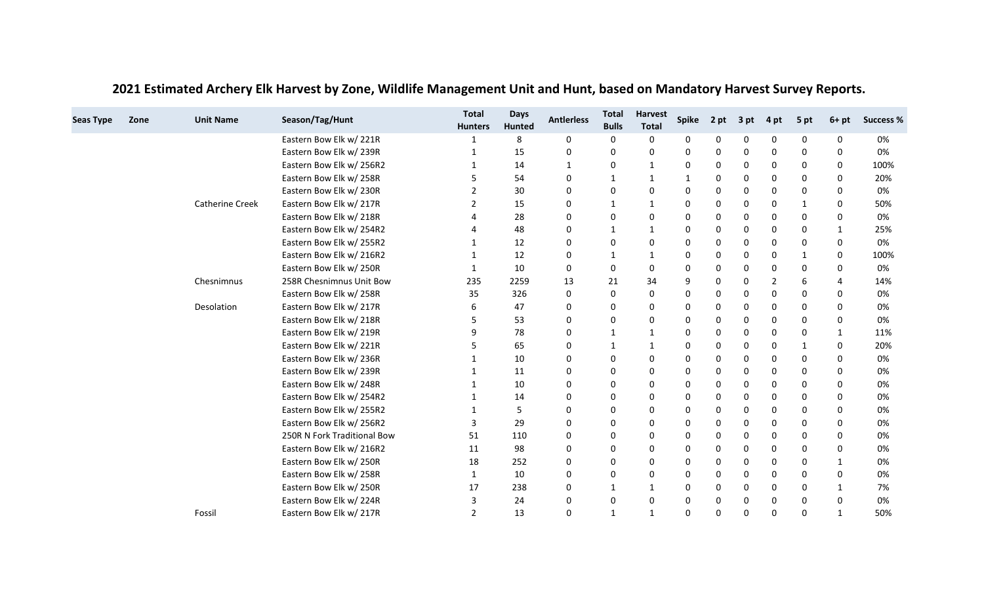| <b>Seas Type</b> | Zone | <b>Unit Name</b>       | Season/Tag/Hunt             | <b>Total</b><br><b>Hunters</b> | <b>Days</b><br><b>Hunted</b> | <b>Antierless</b> | <b>Total</b><br><b>Bulls</b> | <b>Harvest</b><br><b>Total</b> | <b>Spike</b> | 2 pt | 3 pt | 4 pt     | 5 pt        | $6+pt$       | <b>Success %</b> |
|------------------|------|------------------------|-----------------------------|--------------------------------|------------------------------|-------------------|------------------------------|--------------------------------|--------------|------|------|----------|-------------|--------------|------------------|
|                  |      |                        | Eastern Bow Elk w/221R      |                                | 8                            | 0                 | 0                            | 0                              | 0            | 0    | 0    | 0        | 0           | 0            | 0%               |
|                  |      |                        | Eastern Bow Elk w/ 239R     |                                | 15                           | 0                 | 0                            | 0                              | 0            | 0    | 0    | 0        | 0           | 0            | 0%               |
|                  |      |                        | Eastern Bow Elk w/ 256R2    | 1                              | 14                           | 1                 | 0                            | $\mathbf{1}$                   | 0            | 0    | 0    | 0        | $\Omega$    | 0            | 100%             |
|                  |      |                        | Eastern Bow Elk w/ 258R     | 5                              | 54                           | 0                 |                              | 1                              | 1            | 0    | 0    | 0        | 0           | 0            | 20%              |
|                  |      |                        | Eastern Bow Elk w/ 230R     | $\overline{2}$                 | 30                           | 0                 | 0                            | 0                              | 0            | 0    | 0    | 0        | 0           | 0            | 0%               |
|                  |      | <b>Catherine Creek</b> | Eastern Bow Elk w/ 217R     | 2                              | 15                           | 0                 | 1                            | 1                              | 0            | 0    | 0    | 0        | 1           | 0            | 50%              |
|                  |      |                        | Eastern Bow Elk w/ 218R     |                                | 28                           | 0                 | 0                            | 0                              | $\Omega$     | 0    | 0    | 0        | 0           | $\mathbf 0$  | 0%               |
|                  |      |                        | Eastern Bow Elk w/ 254R2    |                                | 48                           | 0                 |                              | 1                              | 0            | 0    | 0    | 0        | $\mathbf 0$ |              | 25%              |
|                  |      |                        | Eastern Bow Elk w/ 255R2    | -1                             | 12                           | 0                 | 0                            | 0                              | 0            | 0    | 0    | 0        | 0           | 0            | 0%               |
|                  |      |                        | Eastern Bow Elk w/ 216R2    | $\mathbf 1$                    | 12                           | 0                 | 1                            | $\mathbf{1}$                   | 0            | 0    | 0    | 0        | -1          | 0            | 100%             |
|                  |      |                        | Eastern Bow Elk w/ 250R     | 1                              | 10                           | 0                 | 0                            | 0                              | 0            | 0    | 0    | 0        | $\mathbf 0$ | 0            | 0%               |
|                  |      | Chesnimnus             | 258R Chesnimnus Unit Bow    | 235                            | 2259                         | 13                | 21                           | 34                             | 9            | 0    | 0    | 2        | 6           | 4            | 14%              |
|                  |      |                        | Eastern Bow Elk w/ 258R     | 35                             | 326                          | 0                 | 0                            | 0                              | $\Omega$     | 0    | 0    | 0        | $\mathbf 0$ | $\Omega$     | 0%               |
|                  |      | Desolation             | Eastern Bow Elk w/ 217R     | 6                              | 47                           | 0                 | 0                            | 0                              | 0            | 0    | 0    | 0        | 0           | 0            | 0%               |
|                  |      |                        | Eastern Bow Elk w/ 218R     | .5                             | 53                           | 0                 | 0                            | 0                              | 0            | 0    | 0    | 0        | 0           | 0            | 0%               |
|                  |      |                        | Eastern Bow Elk w/ 219R     | q                              | 78                           | 0                 | 1                            | $\mathbf{1}$                   | $\Omega$     | 0    | 0    | 0        | $\Omega$    | 1            | 11%              |
|                  |      |                        | Eastern Bow Elk w/221R      |                                | 65                           | 0                 |                              | 1                              | 0            | 0    | 0    | 0        | -1          | 0            | 20%              |
|                  |      |                        | Eastern Bow Elk w/ 236R     |                                | 10                           | 0                 | 0                            | 0                              | $\Omega$     | 0    | 0    | 0        | 0           | $\Omega$     | 0%               |
|                  |      |                        | Eastern Bow Elk w/ 239R     |                                | 11                           | $\mathbf 0$       | 0                            | 0                              | 0            | 0    | 0    | 0        | 0           | 0            | 0%               |
|                  |      |                        | Eastern Bow Elk w/ 248R     |                                | 10                           | 0                 | 0                            | 0                              | 0            | 0    | 0    | 0        | $\Omega$    | $\Omega$     | 0%               |
|                  |      |                        | Eastern Bow Elk w/ 254R2    |                                | 14                           | 0                 | 0                            | 0                              | 0            | 0    | 0    | 0        | 0           | 0            | 0%               |
|                  |      |                        | Eastern Bow Elk w/ 255R2    |                                | 5                            | $\mathbf 0$       | 0                            | 0                              | 0            | 0    | 0    | 0        | $\mathbf 0$ | $\mathbf 0$  | 0%               |
|                  |      |                        | Eastern Bow Elk w/ 256R2    | 3                              | 29                           | 0                 | 0                            | 0                              | 0            | 0    | 0    | 0        | 0           | 0            | 0%               |
|                  |      |                        | 250R N Fork Traditional Bow | 51                             | 110                          | 0                 | 0                            | 0                              | $\Omega$     | 0    | 0    | 0        | $\Omega$    | $\Omega$     | 0%               |
|                  |      |                        | Eastern Bow Elk w/ 216R2    | 11                             | 98                           | 0                 | 0                            | 0                              | 0            | 0    | 0    | 0        | 0           | 0            | 0%               |
|                  |      |                        | Eastern Bow Elk w/250R      | 18                             | 252                          | 0                 | 0                            | 0                              | 0            | 0    | 0    | 0        | $\Omega$    | $\mathbf{1}$ | 0%               |
|                  |      |                        | Eastern Bow Elk w/ 258R     | 1                              | 10                           | 0                 | 0                            | 0                              | 0            | 0    | 0    | 0        | $\Omega$    | $\Omega$     | 0%               |
|                  |      |                        | Eastern Bow Elk w/ 250R     | 17                             | 238                          | 0                 | 1                            | 1                              | 0            | 0    | 0    | 0        | 0           | 1            | 7%               |
|                  |      |                        | Eastern Bow Elk w/224R      | 3                              | 24                           | 0                 | 0                            | 0                              | 0            | 0    | 0    | 0        | 0           | $\mathbf 0$  | 0%               |
|                  |      | Fossil                 | Eastern Bow Elk w/ 217R     | $\overline{2}$                 | 13                           | $\Omega$          | 1                            | $\mathbf{1}$                   | $\Omega$     | 0    | 0    | $\Omega$ | $\Omega$    | 1            | 50%              |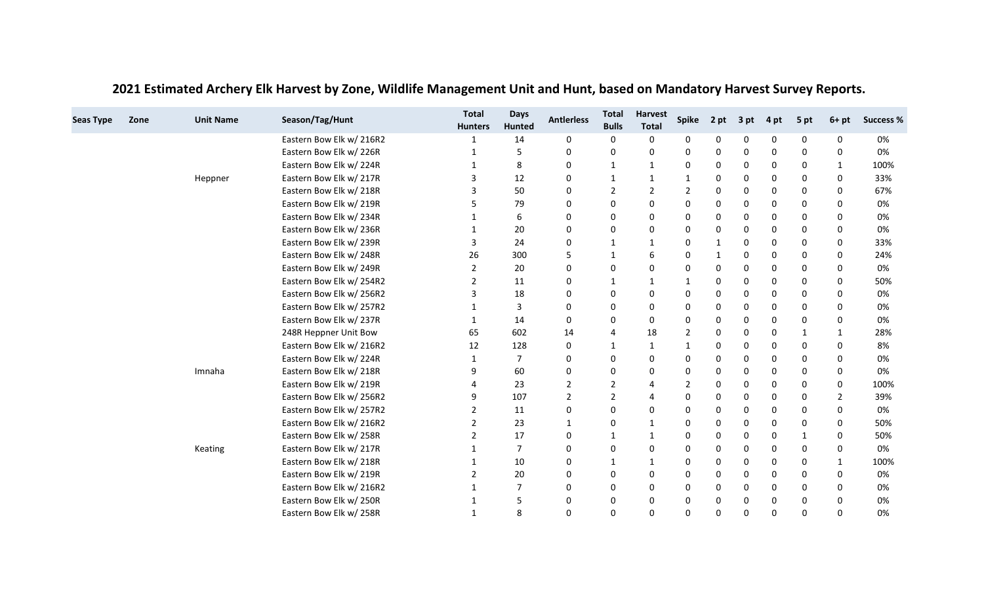| <b>Seas Type</b> | Zone | <b>Unit Name</b> | Season/Tag/Hunt          | <b>Total</b><br><b>Hunters</b> | <b>Days</b><br>Hunted | <b>Antierless</b> | <b>Total</b><br><b>Bulls</b> | <b>Harvest</b><br><b>Total</b> | <b>Spike</b>   | 2 pt         | 3 pt | 4 pt     | 5 pt        | $6+pt$       | <b>Success %</b> |
|------------------|------|------------------|--------------------------|--------------------------------|-----------------------|-------------------|------------------------------|--------------------------------|----------------|--------------|------|----------|-------------|--------------|------------------|
|                  |      |                  | Eastern Bow Elk w/ 216R2 |                                | 14                    | 0                 | 0                            | 0                              | 0              | 0            | 0    | 0        | 0           | 0            | 0%               |
|                  |      |                  | Eastern Bow Elk w/226R   | 1                              | 5                     | 0                 | 0                            | 0                              | 0              | 0            | 0    | 0        | 0           | 0            | 0%               |
|                  |      |                  | Eastern Bow Elk w/224R   | 1                              | 8                     | 0                 | 1                            | $\mathbf{1}$                   | 0              | 0            | 0    | 0        | 0           | $\mathbf{1}$ | 100%             |
|                  |      | Heppner          | Eastern Bow Elk w/ 217R  | 3                              | 12                    | 0                 | 1                            | 1                              | 1              | 0            | 0    | 0        | 0           | 0            | 33%              |
|                  |      |                  | Eastern Bow Elk w/ 218R  | 3                              | 50                    | 0                 | $\overline{2}$               | $\overline{2}$                 | $\overline{2}$ | 0            | 0    | 0        | 0           | 0            | 67%              |
|                  |      |                  | Eastern Bow Elk w/ 219R  | 5                              | 79                    | 0                 | 0                            | 0                              | 0              | 0            | 0    | 0        | 0           | 0            | 0%               |
|                  |      |                  | Eastern Bow Elk w/ 234R  |                                | 6                     | 0                 | 0                            | 0                              | $\Omega$       | 0            | 0    | 0        | 0           | $\Omega$     | 0%               |
|                  |      |                  | Eastern Bow Elk w/ 236R  | 1                              | 20                    | 0                 | 0                            | 0                              | 0              | 0            | 0    | 0        | 0           | $\Omega$     | 0%               |
|                  |      |                  | Eastern Bow Elk w/ 239R  | 3                              | 24                    | 0                 | 1                            | 1                              | 0              | 1            | 0    | 0        | 0           | 0            | 33%              |
|                  |      |                  | Eastern Bow Elk w/ 248R  | 26                             | 300                   | 5                 | -1                           | 6                              | 0              | $\mathbf{1}$ | 0    | 0        | 0           | $\Omega$     | 24%              |
|                  |      |                  | Eastern Bow Elk w/ 249R  | $\overline{2}$                 | 20                    | 0                 | 0                            | 0                              | 0              | 0            | 0    | 0        | 0           | 0            | 0%               |
|                  |      |                  | Eastern Bow Elk w/ 254R2 |                                | 11                    | 0                 | 1                            | 1                              | 1              | 0            | 0    | 0        | 0           | 0            | 50%              |
|                  |      |                  | Eastern Bow Elk w/ 256R2 | 3                              | 18                    | 0                 | 0                            | 0                              | $\Omega$       | 0            | 0    | 0        | $\mathbf 0$ | $\Omega$     | 0%               |
|                  |      |                  | Eastern Bow Elk w/ 257R2 | -1                             | 3                     | 0                 | 0                            | 0                              | 0              | 0            | 0    | 0        | 0           | 0            | 0%               |
|                  |      |                  | Eastern Bow Elk w/ 237R  | $\mathbf 1$                    | 14                    | 0                 | 0                            | 0                              | 0              | 0            | 0    | 0        | 0           | 0            | 0%               |
|                  |      |                  | 248R Heppner Unit Bow    | 65                             | 602                   | 14                | $\overline{4}$               | 18                             | 2              | 0            | 0    | 0        | $\mathbf 1$ | $\mathbf{1}$ | 28%              |
|                  |      |                  | Eastern Bow Elk w/ 216R2 | 12                             | 128                   | 0                 | 1                            | 1                              | 1              | 0            | 0    | 0        | 0           | 0            | 8%               |
|                  |      |                  | Eastern Bow Elk w/224R   | -1                             | 7                     | 0                 | 0                            | 0                              | $\Omega$       | 0            | 0    | 0        | 0           | $\Omega$     | 0%               |
|                  |      | Imnaha           | Eastern Bow Elk w/ 218R  | 9                              | 60                    | 0                 | 0                            | 0                              | 0              | 0            | 0    | 0        | 0           | 0            | 0%               |
|                  |      |                  | Eastern Bow Elk w/ 219R  |                                | 23                    | 2                 | $\overline{2}$               | 4                              | 2              | 0            | 0    | 0        | 0           | $\mathbf{0}$ | 100%             |
|                  |      |                  | Eastern Bow Elk w/ 256R2 | 9                              | 107                   | 2                 | $\overline{2}$               | 4                              | 0              | 0            | 0    | 0        | 0           | 2            | 39%              |
|                  |      |                  | Eastern Bow Elk w/ 257R2 | $\overline{2}$                 | 11                    | 0                 | $\mathbf 0$                  | 0                              | 0              | 0            | 0    | 0        | $\Omega$    | 0            | 0%               |
|                  |      |                  | Eastern Bow Elk w/ 216R2 | 2                              | 23                    | 1                 | 0                            | 1                              | 0              | 0            | 0    | 0        | 0           | 0            | 50%              |
|                  |      |                  | Eastern Bow Elk w/ 258R  | $\overline{2}$                 | 17                    | 0                 | 1                            | $\mathbf{1}$                   | 0              | 0            | 0    | 0        | $\mathbf 1$ | $\Omega$     | 50%              |
|                  |      | Keating          | Eastern Bow Elk w/ 217R  |                                | $\overline{7}$        | 0                 | 0                            | 0                              | 0              | 0            | 0    | 0        | 0           | 0            | 0%               |
|                  |      |                  | Eastern Bow Elk w/ 218R  | 1                              | 10                    | 0                 | $\mathbf 1$                  | $\mathbf{1}$                   | 0              | 0            | 0    | 0        | 0           | 1            | 100%             |
|                  |      |                  | Eastern Bow Elk w/ 219R  | 2                              | 20                    | 0                 | 0                            | 0                              | 0              | 0            | 0    | 0        | $\Omega$    | $\Omega$     | 0%               |
|                  |      |                  | Eastern Bow Elk w/ 216R2 | -1                             | $\overline{7}$        | 0                 | 0                            | 0                              | 0              | 0            | 0    | 0        | 0           | 0            | 0%               |
|                  |      |                  | Eastern Bow Elk w/250R   |                                | 5                     | 0                 | 0                            | 0                              | 0              | 0            | 0    | 0        | 0           | $\Omega$     | 0%               |
|                  |      |                  | Eastern Bow Elk w/ 258R  | $\mathbf{1}$                   | 8                     | $\Omega$          | $\Omega$                     | $\Omega$                       | $\Omega$       | 0            | 0    | $\Omega$ | 0           | $\Omega$     | 0%               |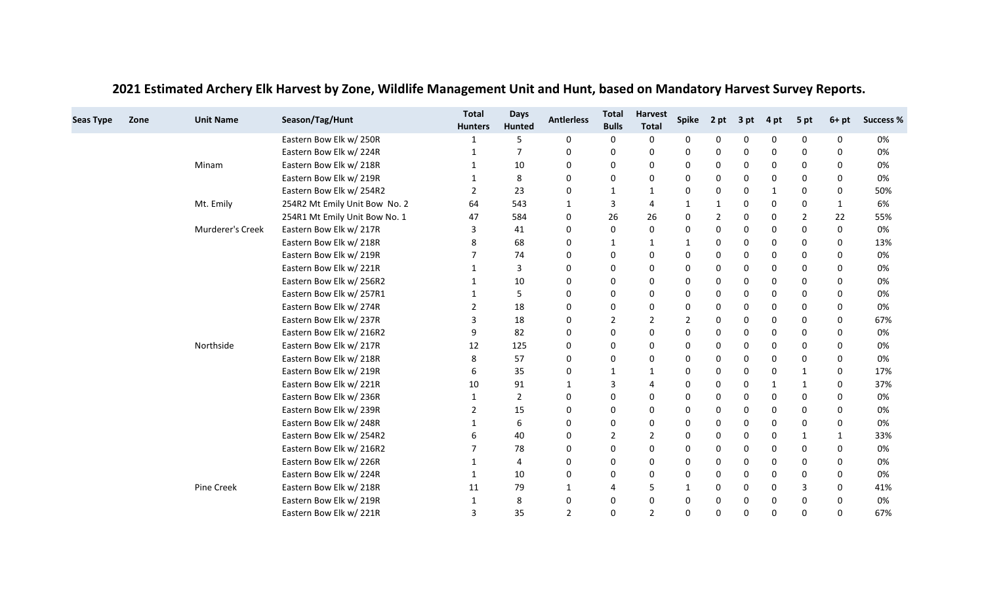| <b>Seas Type</b> | Zone | <b>Unit Name</b> | Season/Tag/Hunt               | <b>Total</b><br><b>Hunters</b> | <b>Days</b><br>Hunted | <b>Antierless</b> | <b>Total</b><br><b>Bulls</b> | <b>Harvest</b><br><b>Total</b> | <b>Spike</b>   | 2 pt           | 3 pt | 4 pt         | 5 pt           | $6+pt$      | <b>Success %</b> |
|------------------|------|------------------|-------------------------------|--------------------------------|-----------------------|-------------------|------------------------------|--------------------------------|----------------|----------------|------|--------------|----------------|-------------|------------------|
|                  |      |                  | Eastern Bow Elk w/ 250R       |                                | 5                     | 0                 | 0                            | 0                              | 0              | 0              | 0    | 0            | 0              | 0           | 0%               |
|                  |      |                  | Eastern Bow Elk w/224R        |                                | $\overline{7}$        | 0                 | 0                            | 0                              | 0              | 0              | 0    | 0            | 0              | $\Omega$    | 0%               |
|                  |      | Minam            | Eastern Bow Elk w/ 218R       | 1                              | 10                    | 0                 | 0                            | 0                              | 0              | 0              | 0    | 0            | $\Omega$       | 0           | 0%               |
|                  |      |                  | Eastern Bow Elk w/ 219R       |                                | 8                     | 0                 | 0                            | 0                              | 0              | 0              | 0    | 0            | 0              | 0           | 0%               |
|                  |      |                  | Eastern Bow Elk w/ 254R2      | $\overline{2}$                 | 23                    | 0                 | 1                            | 1                              | 0              | 0              | 0    | 1            | 0              | 0           | 50%              |
|                  |      | Mt. Emily        | 254R2 Mt Emily Unit Bow No. 2 | 64                             | 543                   | 1                 | 3                            | 4                              | 1              | 1              | 0    | 0            | $\Omega$       | 1           | 6%               |
|                  |      |                  | 254R1 Mt Emily Unit Bow No. 1 | 47                             | 584                   | 0                 | 26                           | 26                             | 0              | $\overline{2}$ | 0    | 0            | $\overline{2}$ | 22          | 55%              |
|                  |      | Murderer's Creek | Eastern Bow Elk w/ 217R       | 3                              | 41                    | 0                 | 0                            | 0                              | 0              | 0              | 0    | 0            | $\mathbf 0$    | $\mathbf 0$ | 0%               |
|                  |      |                  | Eastern Bow Elk w/ 218R       | 8                              | 68                    | 0                 | 1                            | 1                              | 1              | 0              | 0    | 0            | 0              | 0           | 13%              |
|                  |      |                  | Eastern Bow Elk w/ 219R       |                                | 74                    | 0                 | 0                            | 0                              | 0              | 0              | 0    | 0            | $\Omega$       | $\Omega$    | 0%               |
|                  |      |                  | Eastern Bow Elk w/221R        |                                | 3                     | 0                 | 0                            | 0                              | 0              | 0              | 0    | 0            | 0              | 0           | 0%               |
|                  |      |                  | Eastern Bow Elk w/ 256R2      | -1                             | 10                    | 0                 | 0                            | 0                              | 0              | 0              | 0    | 0            | 0              | 0           | 0%               |
|                  |      |                  | Eastern Bow Elk w/ 257R1      | 1                              | 5                     | 0                 | 0                            | 0                              | 0              | 0              | 0    | 0            | 0              | $\Omega$    | 0%               |
|                  |      |                  | Eastern Bow Elk w/ 274R       | 2                              | 18                    | 0                 | 0                            | 0                              | 0              | 0              | 0    | 0            | 0              | 0           | 0%               |
|                  |      |                  | Eastern Bow Elk w/ 237R       | 3                              | 18                    | 0                 | $\overline{2}$               | 2                              | $\overline{2}$ | 0              | 0    | 0            | 0              | 0           | 67%              |
|                  |      |                  | Eastern Bow Elk w/ 216R2      | 9                              | 82                    | 0                 | 0                            | 0                              | 0              | 0              | 0    | 0            | 0              | $\Omega$    | 0%               |
|                  |      | Northside        | Eastern Bow Elk w/ 217R       | 12                             | 125                   | 0                 | 0                            | 0                              | 0              | 0              | 0    | 0            | 0              | 0           | 0%               |
|                  |      |                  | Eastern Bow Elk w/218R        | 8                              | 57                    | 0                 | 0                            | 0                              | 0              | 0              | 0    | 0            | 0              | $\Omega$    | 0%               |
|                  |      |                  | Eastern Bow Elk w/ 219R       | 6                              | 35                    | 0                 | 1                            | 1                              | 0              | 0              | 0    | 0            | $\mathbf{1}$   | 0           | 17%              |
|                  |      |                  | Eastern Bow Elk w/221R        | 10                             | 91                    | 1                 | 3                            | 4                              | 0              | 0              | 0    | $\mathbf{1}$ | 1              | $\Omega$    | 37%              |
|                  |      |                  | Eastern Bow Elk w/ 236R       |                                | $\overline{2}$        | 0                 | 0                            | 0                              | 0              | 0              | 0    | 0            | 0              | 0           | 0%               |
|                  |      |                  | Eastern Bow Elk w/ 239R       | $\overline{2}$                 | 15                    | $\mathbf 0$       | 0                            | 0                              | 0              | 0              | 0    | 0            | $\mathbf 0$    | $\mathbf 0$ | 0%               |
|                  |      |                  | Eastern Bow Elk w/ 248R       | 1                              | 6                     | 0                 | 0                            | 0                              | 0              | 0              | 0    | 0            | 0              | 0           | 0%               |
|                  |      |                  | Eastern Bow Elk w/ 254R2      | 6                              | 40                    | 0                 | $\overline{2}$               | $\overline{2}$                 | 0              | 0              | 0    | 0            | -1             | 1           | 33%              |
|                  |      |                  | Eastern Bow Elk w/ 216R2      |                                | 78                    | 0                 | 0                            | 0                              | 0              | 0              | 0    | 0            | 0              | $\mathbf 0$ | 0%               |
|                  |      |                  | Eastern Bow Elk w/ 226R       | -1                             | 4                     | 0                 | 0                            | 0                              | 0              | 0              | 0    | 0            | 0              | 0           | 0%               |
|                  |      |                  | Eastern Bow Elk w/224R        | 1                              | 10                    | 0                 | 0                            | 0                              | 0              | 0              | 0    | 0            | $\mathbf 0$    | $\Omega$    | 0%               |
|                  |      | Pine Creek       | Eastern Bow Elk w/ 218R       | 11                             | 79                    | 1                 | 4                            | 5                              | $\mathbf{1}$   | 0              | 0    | 0            | 3              | 0           | 41%              |
|                  |      |                  | Eastern Bow Elk w/ 219R       |                                | 8                     | 0                 | 0                            | 0                              | 0              | 0              | 0    | 0            | 0              | $\Omega$    | 0%               |
|                  |      |                  | Eastern Bow Elk w/221R        | 3                              | 35                    | $\overline{2}$    | $\mathbf 0$                  | $\overline{2}$                 | $\Omega$       | 0              | 0    | 0            | 0              | $\Omega$    | 67%              |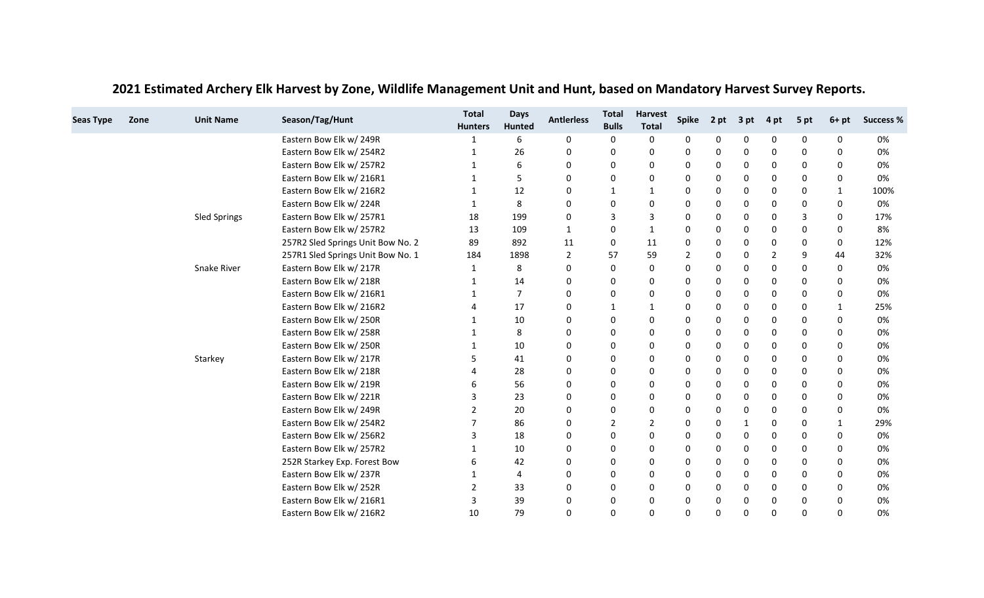| <b>Seas Type</b> | Zone | <b>Unit Name</b> | Season/Tag/Hunt                   | <b>Total</b><br><b>Hunters</b> | <b>Days</b><br>Hunted | <b>Antierless</b> | <b>Total</b><br><b>Bulls</b> | <b>Harvest</b><br><b>Total</b> | <b>Spike</b>   | 2 pt | 3 pt | 4 pt | 5 pt         | $6+pt$       | <b>Success %</b> |
|------------------|------|------------------|-----------------------------------|--------------------------------|-----------------------|-------------------|------------------------------|--------------------------------|----------------|------|------|------|--------------|--------------|------------------|
|                  |      |                  | Eastern Bow Elk w/ 249R           |                                | 6                     | 0                 | 0                            | 0                              | 0              | 0    | 0    | 0    | 0            | 0            | 0%               |
|                  |      |                  | Eastern Bow Elk w/ 254R2          | 1                              | 26                    | $\mathbf 0$       | 0                            | 0                              | 0              | 0    | 0    | 0    | 0            | $\Omega$     | 0%               |
|                  |      |                  | Eastern Bow Elk w/ 257R2          | 1                              | 6                     | 0                 | 0                            | 0                              | 0              | 0    | 0    | 0    | $\Omega$     | 0            | 0%               |
|                  |      |                  | Eastern Bow Elk w/ 216R1          |                                | 5                     | 0                 | 0                            | 0                              | 0              | 0    | 0    | 0    | 0            | 0            | 0%               |
|                  |      |                  | Eastern Bow Elk w/ 216R2          | $\mathbf 1$                    | 12                    | 0                 | 1                            | $\mathbf{1}$                   | 0              | 0    | 0    | 0    | 0            | 1            | 100%             |
|                  |      |                  | Eastern Bow Elk w/224R            | 1                              | 8                     | 0                 | 0                            | 0                              | 0              | 0    | 0    | 0    | 0            | 0            | 0%               |
|                  |      | Sled Springs     | Eastern Bow Elk w/ 257R1          | 18                             | 199                   | 0                 | 3                            | 3                              | 0              | 0    | 0    | 0    | 3            | 0            | 17%              |
|                  |      |                  | Eastern Bow Elk w/ 257R2          | 13                             | 109                   | 1                 | 0                            | $\mathbf{1}$                   | 0              | 0    | 0    | 0    | 0            | $\Omega$     | 8%               |
|                  |      |                  | 257R2 Sled Springs Unit Bow No. 2 | 89                             | 892                   | 11                | 0                            | 11                             | 0              | 0    | 0    | 0    | 0            | 0            | 12%              |
|                  |      |                  | 257R1 Sled Springs Unit Bow No. 1 | 184                            | 1898                  | 2                 | 57                           | 59                             | $\overline{2}$ | 0    | 0    | 2    | 9            | 44           | 32%              |
|                  |      | Snake River      | Eastern Bow Elk w/ 217R           | 1                              | 8                     | 0                 | 0                            | 0                              | 0              | 0    | 0    | 0    | $\mathbf 0$  | 0            | 0%               |
|                  |      |                  | Eastern Bow Elk w/ 218R           | 1                              | 14                    | $\Omega$          | 0                            | 0                              | 0              | 0    | 0    | 0    | 0            | 0            | 0%               |
|                  |      |                  | Eastern Bow Elk w/ 216R1          |                                | $\overline{7}$        | 0                 | 0                            | 0                              | 0              | 0    | 0    | 0    | 0            | 0            | 0%               |
|                  |      |                  | Eastern Bow Elk w/ 216R2          |                                | 17                    | 0                 | 1                            | $\mathbf{1}$                   | 0              | 0    | 0    | 0    | 0            | 1            | 25%              |
|                  |      |                  | Eastern Bow Elk w/ 250R           |                                | 10                    | 0                 | 0                            | 0                              | 0              | 0    | 0    | 0    | 0            | $\Omega$     | 0%               |
|                  |      |                  | Eastern Bow Elk w/ 258R           |                                | 8                     | 0                 | 0                            | 0                              | 0              | 0    | 0    | 0    | 0            | $\Omega$     | 0%               |
|                  |      |                  | Eastern Bow Elk w/ 250R           | 1                              | 10                    | 0                 | 0                            | 0                              | 0              | 0    | 0    | 0    | 0            | $\Omega$     | 0%               |
|                  |      | Starkey          | Eastern Bow Elk w/ 217R           |                                | 41                    | 0                 | 0                            | 0                              | 0              | 0    | 0    | 0    | 0            | 0            | 0%               |
|                  |      |                  | Eastern Bow Elk w/ 218R           |                                | 28                    | $\mathbf 0$       | 0                            | 0                              | 0              | 0    | 0    | 0    | $\mathbf 0$  | $\Omega$     | 0%               |
|                  |      |                  | Eastern Bow Elk w/ 219R           |                                | 56                    | 0                 | 0                            | 0                              | 0              | 0    | 0    | 0    | 0            | 0            | 0%               |
|                  |      |                  | Eastern Bow Elk w/221R            | 3                              | 23                    | 0                 | 0                            | 0                              | 0              | 0    | 0    | 0    | 0            | $\Omega$     | 0%               |
|                  |      |                  | Eastern Bow Elk w/ 249R           | 2                              | 20                    | $\mathbf 0$       | 0                            | 0                              | 0              | 0    | 0    | 0    | 0            | 0            | 0%               |
|                  |      |                  | Eastern Bow Elk w/ 254R2          | 7                              | 86                    | 0                 | $\overline{2}$               | 2                              | 0              | 0    | 1    | 0    | $\mathbf{0}$ | $\mathbf{1}$ | 29%              |
|                  |      |                  | Eastern Bow Elk w/ 256R2          | 3                              | 18                    | 0                 | 0                            | 0                              | 0              | 0    | 0    | 0    | 0            | $\Omega$     | 0%               |
|                  |      |                  | Eastern Bow Elk w/ 257R2          |                                | 10                    | 0                 | 0                            | 0                              | 0              | 0    | 0    | 0    | 0            | 0            | 0%               |
|                  |      |                  | 252R Starkey Exp. Forest Bow      | 6                              | 42                    | 0                 | 0                            | 0                              | 0              | 0    | 0    | 0    | 0            | 0            | 0%               |
|                  |      |                  | Eastern Bow Elk w/ 237R           | 1                              | $\overline{4}$        | 0                 | 0                            | 0                              | 0              | 0    | 0    | 0    | 0            | 0            | 0%               |
|                  |      |                  | Eastern Bow Elk w/ 252R           | 2                              | 33                    | $\mathbf 0$       | 0                            | 0                              | 0              | 0    | 0    | 0    | 0            | $\Omega$     | 0%               |
|                  |      |                  | Eastern Bow Elk w/ 216R1          | 3                              | 39                    | 0                 | 0                            | 0                              | 0              | 0    | 0    | 0    | 0            | <sup>0</sup> | 0%               |
|                  |      |                  | Eastern Bow Elk w/ 216R2          | 10                             | 79                    | 0                 | $\mathbf 0$                  | 0                              | 0              | 0    | 0    | 0    | $\Omega$     | $\Omega$     | 0%               |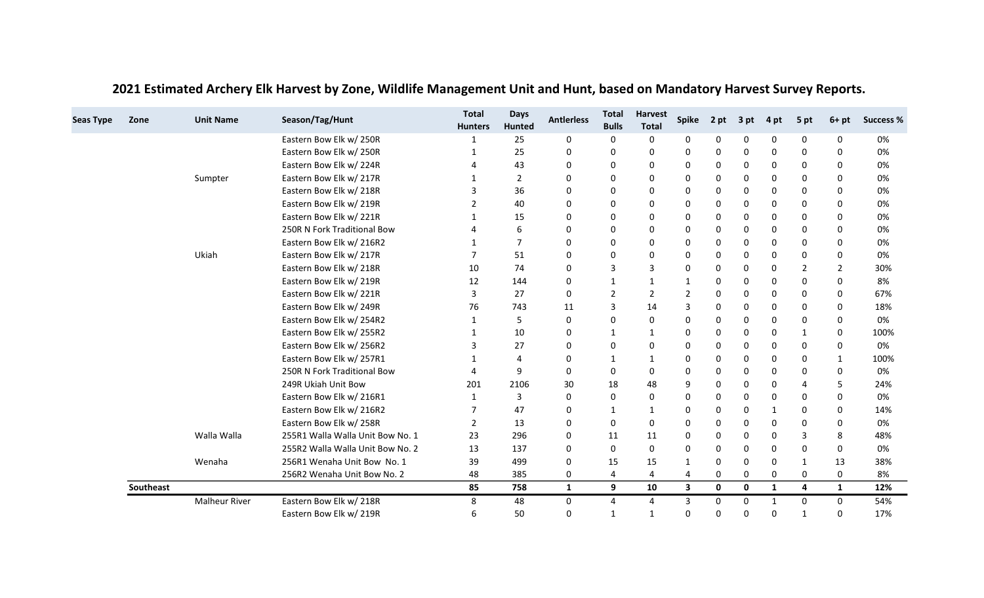| <b>Seas Type</b><br>Zone | <b>Unit Name</b>     | Season/Tag/Hunt                  | <b>Total</b><br><b>Hunters</b> | <b>Days</b><br>Hunted | <b>Antierless</b> | <b>Total</b><br><b>Bulls</b> | <b>Harvest</b><br><b>Total</b> | <b>Spike</b> | 2 pt | 3 pt        | 4 pt         | 5 pt                  | $6+pt$         | <b>Success %</b> |
|--------------------------|----------------------|----------------------------------|--------------------------------|-----------------------|-------------------|------------------------------|--------------------------------|--------------|------|-------------|--------------|-----------------------|----------------|------------------|
|                          |                      | Eastern Bow Elk w/250R           |                                | 25                    | 0                 | 0                            | 0                              | 0            | 0    | 0           | 0            | 0                     | 0              | 0%               |
|                          |                      | Eastern Bow Elk w/ 250R          | 1                              | 25                    | 0                 | 0                            | 0                              | 0            | 0    | 0           | 0            | 0                     | 0              | 0%               |
|                          |                      | Eastern Bow Elk w/ 224R          |                                | 43                    | 0                 | 0                            | 0                              | 0            | 0    | 0           | 0            | $\Omega$              | 0              | 0%               |
|                          | Sumpter              | Eastern Bow Elk w/ 217R          |                                | $\overline{2}$        | 0                 | 0                            | 0                              | 0            | 0    | 0           | 0            | 0                     | $\Omega$       | 0%               |
|                          |                      | Eastern Bow Elk w/ 218R          | 3                              | 36                    | 0                 | 0                            | 0                              | 0            | 0    | 0           | 0            | 0                     | $\Omega$       | 0%               |
|                          |                      | Eastern Bow Elk w/ 219R          | 2                              | 40                    | 0                 | 0                            | 0                              | 0            | 0    | 0           | 0            | $\Omega$              | 0              | 0%               |
|                          |                      | Eastern Bow Elk w/221R           |                                | 15                    | 0                 | 0                            | 0                              | 0            | 0    | 0           | 0            | 0                     | 0              | 0%               |
|                          |                      | 250R N Fork Traditional Bow      | $\overline{4}$                 | 6                     | $\mathbf 0$       | 0                            | 0                              | $\Omega$     | 0    | 0           | 0            | 0                     | 0              | 0%               |
|                          |                      | Eastern Bow Elk w/ 216R2         | 1                              | $\overline{7}$        | 0                 | 0                            | 0                              | 0            | 0    | 0           | 0            | 0                     | 0              | 0%               |
|                          | Ukiah                | Eastern Bow Elk w/217R           | $\overline{7}$                 | 51                    | 0                 | 0                            | 0                              | 0            | 0    | 0           | 0            | 0                     | 0              | 0%               |
|                          |                      | Eastern Bow Elk w/ 218R          | 10                             | 74                    | $\mathbf 0$       | 3                            | 3                              | 0            | 0    | 0           | 0            | $\overline{2}$        | $\overline{2}$ | 30%              |
|                          |                      | Eastern Bow Elk w/ 219R          | 12                             | 144                   | 0                 | $\mathbf{1}$                 | $\mathbf{1}$                   | 1            | 0    | 0           | 0            | $\Omega$              | 0              | 8%               |
|                          |                      | Eastern Bow Elk w/221R           | 3                              | 27                    | 0                 | $\overline{2}$               | $\overline{2}$                 | 2            | 0    | 0           | 0            | 0                     | 0              | 67%              |
|                          |                      | Eastern Bow Elk w/ 249R          | 76                             | 743                   | 11                | 3                            | 14                             | 3            | 0    | 0           | 0            | 0                     | $\Omega$       | 18%              |
|                          |                      | Eastern Bow Elk w/ 254R2         | 1                              | 5                     | 0                 | 0                            | 0                              | 0            | 0    | 0           | 0            | 0                     | 0              | 0%               |
|                          |                      | Eastern Bow Elk w/ 255R2         | 1                              | 10                    | 0                 | 1                            | $\mathbf{1}$                   | $\mathbf{0}$ | 0    | 0           | 0            | 1                     | 0              | 100%             |
|                          |                      | Eastern Bow Elk w/ 256R2         | 3                              | 27                    | 0                 | 0                            | 0                              | 0            | 0    | 0           | 0            | $\mathbf 0$           | 0              | 0%               |
|                          |                      | Eastern Bow Elk w/ 257R1         |                                | $\overline{4}$        | 0                 | 1                            | $\mathbf{1}$                   | 0            | 0    | 0           | 0            | 0                     | 1              | 100%             |
|                          |                      | 250R N Fork Traditional Bow      | $\overline{4}$                 | 9                     | 0                 | $\mathbf 0$                  | 0                              | $\Omega$     | 0    | 0           | 0            | $\mathbf 0$           | $\Omega$       | 0%               |
|                          |                      | 249R Ukiah Unit Bow              | 201                            | 2106                  | 30                | 18                           | 48                             | 9            | 0    | 0           | 0            | $\boldsymbol{\Delta}$ | 5              | 24%              |
|                          |                      | Eastern Bow Elk w/ 216R1         | 1                              | $\overline{3}$        | 0                 | 0                            | 0                              | 0            | 0    | 0           | 0            | $\Omega$              | 0              | 0%               |
|                          |                      | Eastern Bow Elk w/ 216R2         | $\overline{7}$                 | 47                    | $\mathbf 0$       | 1                            | $\mathbf{1}$                   | 0            | 0    | 0           |              | 0                     | $\Omega$       | 14%              |
|                          |                      | Eastern Bow Elk w/ 258R          | 2                              | 13                    | 0                 | $\mathbf{0}$                 | 0                              | 0            | 0    | 0           | 0            | $\Omega$              | 0              | 0%               |
|                          | Walla Walla          | 255R1 Walla Walla Unit Bow No. 1 | 23                             | 296                   | 0                 | 11                           | 11                             | 0            | 0    | 0           | 0            | 3                     | 8              | 48%              |
|                          |                      | 255R2 Walla Walla Unit Bow No. 2 | 13                             | 137                   | 0                 | 0                            | 0                              | 0            | 0    | 0           | 0            | 0                     | 0              | 0%               |
|                          | Wenaha               | 256R1 Wenaha Unit Bow No. 1      | 39                             | 499                   | 0                 | 15                           | 15                             | 1            | 0    | 0           | 0            | 1                     | 13             | 38%              |
|                          |                      | 256R2 Wenaha Unit Bow No. 2      | 48                             | 385                   | 0                 | 4                            | 4                              | 4            | 0    | 0           | 0            | 0                     | 0              | 8%               |
| Southeast                |                      |                                  | 85                             | 758                   | $\mathbf{1}$      | 9                            | 10                             | 3            | 0    | $\mathbf 0$ | $\mathbf{1}$ | 4                     | $\mathbf{1}$   | 12%              |
|                          | <b>Malheur River</b> | Eastern Bow Elk w/ 218R          | 8                              | 48                    | 0                 | 4                            | 4                              | 3            | 0    | 0           | $\mathbf{1}$ | 0                     | $\mathbf{0}$   | 54%              |
|                          |                      | Eastern Bow Elk w/ 219R          | 6                              | 50                    | 0                 | $\mathbf{1}$                 | $\mathbf{1}$                   | $\Omega$     | 0    | 0           | 0            | $\mathbf{1}$          | 0              | 17%              |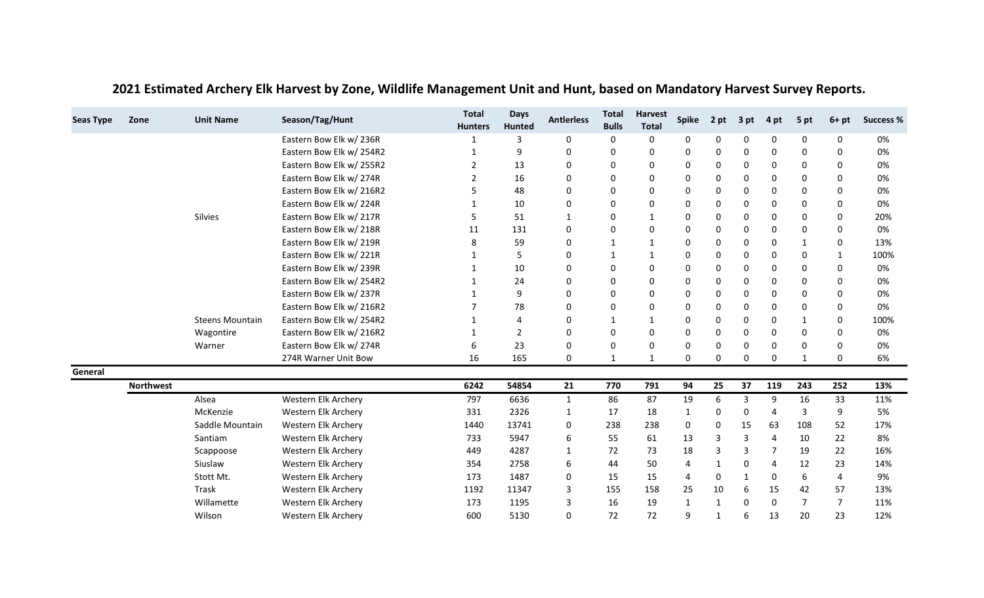| <b>Seas Type</b> | Zone             | <b>Unit Name</b>       | Season/Tag/Hunt          | <b>Total</b><br><b>Hunters</b> | <b>Days</b><br>Hunted | <b>Antierless</b> | <b>Total</b><br><b>Bulls</b> | <b>Harvest</b><br><b>Total</b> | <b>Spike</b> | 2 pt         | 3 pt | 4 pt     | 5 pt           | $6+pt$         | <b>Success %</b> |
|------------------|------------------|------------------------|--------------------------|--------------------------------|-----------------------|-------------------|------------------------------|--------------------------------|--------------|--------------|------|----------|----------------|----------------|------------------|
|                  |                  |                        | Eastern Bow Elk w/236R   |                                | 3                     | 0                 | 0                            | 0                              | 0            | 0            | 0    | 0        | 0              | 0              | 0%               |
|                  |                  |                        | Eastern Bow Elk w/ 254R2 | $\mathbf 1$                    | 9                     | 0                 | 0                            | 0                              | $\Omega$     | 0            | 0    | 0        | $\mathbf 0$    | 0              | 0%               |
|                  |                  |                        | Eastern Bow Elk w/ 255R2 | 2                              | 13                    | 0                 | 0                            | 0                              | 0            | 0            | 0    | 0        | $\Omega$       | 0              | 0%               |
|                  |                  |                        | Eastern Bow Elk w/ 274R  | 2                              | 16                    | 0                 | 0                            | 0                              | 0            | 0            | 0    | 0        | 0              | $\Omega$       | 0%               |
|                  |                  |                        | Eastern Bow Elk w/ 216R2 |                                | 48                    | $\mathbf 0$       | 0                            | 0                              | 0            | 0            | 0    | 0        | 0              | $\Omega$       | 0%               |
|                  |                  |                        | Eastern Bow Elk w/ 224R  | 1                              | 10                    | 0                 | 0                            | 0                              | 0            | 0            | 0    | 0        | $\Omega$       | 0              | 0%               |
|                  |                  | Silvies                | Eastern Bow Elk w/ 217R  | 5                              | 51                    | $\mathbf 1$       | 0                            | $\mathbf{1}$                   | 0            | 0            | 0    | 0        | $\mathbf 0$    | 0              | 20%              |
|                  |                  |                        | Eastern Bow Elk w/ 218R  | 11                             | 131                   | 0                 | 0                            | 0                              | 0            | 0            | 0    | 0        | 0              | 0              | 0%               |
|                  |                  |                        | Eastern Bow Elk w/ 219R  | 8                              | 59                    | 0                 | 1                            | 1                              | 0            | 0            | 0    | 0        | 1              | 0              | 13%              |
|                  |                  |                        | Eastern Bow Elk w/221R   | 1                              | 5                     | 0                 | 1                            | $\mathbf{1}$                   | 0            | 0            | 0    | 0        | 0              | $\mathbf{1}$   | 100%             |
|                  |                  |                        | Eastern Bow Elk w/ 239R  |                                | 10                    | $\mathbf 0$       | 0                            | 0                              | $\Omega$     | 0            | 0    | 0        | $\mathbf 0$    | 0              | 0%               |
|                  |                  |                        | Eastern Bow Elk w/ 254R2 | 1                              | 24                    | 0                 | 0                            | 0                              | 0            | 0            | 0    | 0        | $\Omega$       | 0              | 0%               |
|                  |                  |                        | Eastern Bow Elk w/ 237R  | -1                             | 9                     | 0                 | 0                            | 0                              | 0            | 0            | 0    | 0        | 0              | $\Omega$       | 0%               |
|                  |                  |                        | Eastern Bow Elk w/ 216R2 |                                | 78                    | $\mathbf 0$       | 0                            | 0                              | $\Omega$     | 0            | 0    | 0        | $\mathbf 0$    | 0              | 0%               |
|                  |                  | <b>Steens Mountain</b> | Eastern Bow Elk w/ 254R2 |                                | 4                     | 0                 | 1                            | $\mathbf{1}$                   | 0            | 0            | 0    | $\Omega$ | $\mathbf{1}$   | 0              | 100%             |
|                  |                  | Wagontire              | Eastern Bow Elk w/ 216R2 | 1                              | 2                     | 0                 | 0                            | 0                              | 0            | 0            | 0    | 0        | 0              | 0              | 0%               |
|                  |                  | Warner                 | Eastern Bow Elk w/ 274R  | 6                              | 23                    | 0                 | 0                            | 0                              | 0            | 0            | 0    | 0        | 0              | 0              | 0%               |
|                  |                  |                        | 274R Warner Unit Bow     | 16                             | 165                   | $\mathbf 0$       | 1                            | $\mathbf{1}$                   | 0            | 0            | 0    | 0        | $\mathbf 1$    | 0              | 6%               |
| General          |                  |                        |                          |                                |                       |                   |                              |                                |              |              |      |          |                |                |                  |
|                  | <b>Northwest</b> |                        |                          | 6242                           | 54854                 | 21                | 770                          | 791                            | 94           | 25           | 37   | 119      | 243            | 252            | 13%              |
|                  |                  | Alsea                  | Western Elk Archery      | 797                            | 6636                  | $\mathbf{1}$      | 86                           | 87                             | 19           | 6            | 3    | 9        | 16             | 33             | 11%              |
|                  |                  | McKenzie               | Western Elk Archery      | 331                            | 2326                  | 1                 | 17                           | 18                             | 1            | 0            | 0    | 4        | 3              | 9              | 5%               |
|                  |                  | Saddle Mountain        | Western Elk Archery      | 1440                           | 13741                 | 0                 | 238                          | 238                            | 0            | 0            | 15   | 63       | 108            | 52             | 17%              |
|                  |                  | Santiam                | Western Elk Archery      | 733                            | 5947                  | 6                 | 55                           | 61                             | 13           | 3            | 3    | Δ        | 10             | 22             | 8%               |
|                  |                  | Scappoose              | Western Elk Archery      | 449                            | 4287                  | $\mathbf{1}$      | 72                           | 73                             | 18           | 3            | 3    |          | 19             | 22             | 16%              |
|                  |                  | Siuslaw                | Western Elk Archery      | 354                            | 2758                  | 6                 | 44                           | 50                             | 4            | 1            | 0    | Δ        | 12             | 23             | 14%              |
|                  |                  | Stott Mt.              | Western Elk Archery      | 173                            | 1487                  | 0                 | 15                           | 15                             | 4            | 0            | 1    | 0        | 6              | 4              | 9%               |
|                  |                  | Trask                  | Western Elk Archery      | 1192                           | 11347                 | 3                 | 155                          | 158                            | 25           | 10           | 6    | 15       | 42             | 57             | 13%              |
|                  |                  | Willamette             | Western Elk Archery      | 173                            | 1195                  | 3                 | 16                           | 19                             | $\mathbf{1}$ | $\mathbf{1}$ | 0    | O        | $\overline{7}$ | $\overline{7}$ | 11%              |
|                  |                  | Wilson                 | Western Elk Archery      | 600                            | 5130                  | $\mathbf 0$       | 72                           | 72                             | 9            | 1            | 6    | 13       | 20             | 23             | 12%              |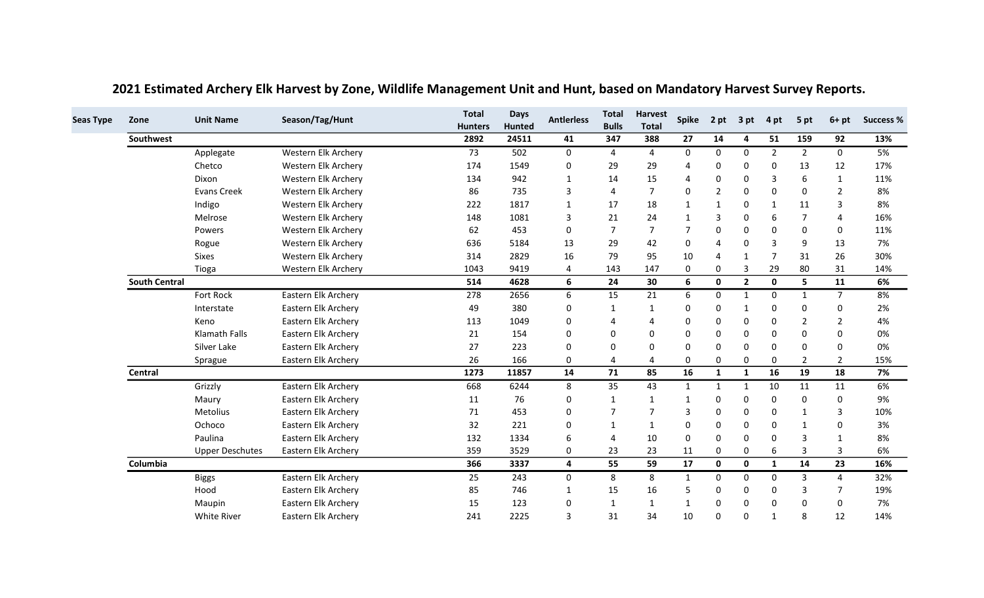| Zone      | <b>Unit Name</b>       | Season/Tag/Hunt     | <b>Total</b><br><b>Hunters</b> | <b>Days</b><br>Hunted | <b>Antierless</b> | <b>Total</b><br><b>Bulls</b> | <b>Harvest</b><br><b>Total</b> | <b>Spike</b>          | 2 pt           | 3 pt         | 4 pt           | 5 pt           | $6+pt$         | <b>Success %</b> |
|-----------|------------------------|---------------------|--------------------------------|-----------------------|-------------------|------------------------------|--------------------------------|-----------------------|----------------|--------------|----------------|----------------|----------------|------------------|
| Southwest |                        |                     | 2892                           | 24511                 | 41                | 347                          | 388                            | 27                    | 14             | 4            | 51             | 159            | 92             | 13%              |
|           | Applegate              | Western Elk Archery | 73                             | 502                   | $\mathbf 0$       | $\overline{4}$               | $\overline{4}$                 | 0                     | $\Omega$       | $\mathbf{0}$ | $\overline{2}$ | $\overline{2}$ | 0              | 5%               |
|           | Chetco                 | Western Elk Archery | 174                            | 1549                  | 0                 | 29                           | 29                             | Δ                     | $\Omega$       | $\Omega$     | $\Omega$       | 13             | 12             | 17%              |
|           | Dixon                  | Western Elk Archery | 134                            | 942                   | $\mathbf{1}$      | 14                           | 15                             | $\boldsymbol{\Delta}$ | $\Omega$       | $\Omega$     | 3              | 6              | 1              | 11%              |
|           | <b>Evans Creek</b>     | Western Elk Archery | 86                             | 735                   | 3                 | 4                            | 7                              | $\Omega$              | $\overline{2}$ | $\Omega$     | $\Omega$       | $\Omega$       | $\overline{2}$ | 8%               |
|           | Indigo                 | Western Elk Archery | 222                            | 1817                  | 1                 | 17                           | 18                             | 1                     | $\mathbf 1$    | $\Omega$     | $\mathbf{1}$   | 11             | 3              | 8%               |
|           | Melrose                | Western Elk Archery | 148                            | 1081                  | 3                 | 21                           | 24                             | 1                     | 3              | $\Omega$     | 6              | $\overline{7}$ | 4              | 16%              |
|           | Powers                 | Western Elk Archery | 62                             | 453                   | 0                 | $\overline{7}$               | $\overline{7}$                 | $\overline{7}$        | 0              | 0            | 0              | $\mathbf 0$    | 0              | 11%              |
|           | Rogue                  | Western Elk Archery | 636                            | 5184                  | 13                | 29                           | 42                             | $\Omega$              | Δ              | $\Omega$     | 3              | 9              | 13             | 7%               |
|           | <b>Sixes</b>           | Western Elk Archery | 314                            | 2829                  | 16                | 79                           | 95                             | 10                    | 4              | $\mathbf 1$  |                | 31             | 26             | 30%              |
|           | Tioga                  | Western Elk Archery | 1043                           | 9419                  | 4                 | 143                          | 147                            | 0                     | 0              | 3            | 29             | 80             | 31             | 14%              |
|           | <b>South Central</b>   |                     | 514                            | 4628                  | 6                 | 24                           | 30                             | 6                     | 0              | $\mathbf{2}$ | 0              | 5              | 11             | 6%               |
|           | Fort Rock              | Eastern Elk Archery | 278                            | 2656                  | 6                 | 15                           | 21                             | 6                     | $\Omega$       | $\mathbf{1}$ | $\Omega$       | $\mathbf{1}$   | $\overline{7}$ | 8%               |
|           | Interstate             | Eastern Elk Archery | 49                             | 380                   | 0                 | $\mathbf{1}$                 | 1                              | 0                     | $\Omega$       | -1           | $\Omega$       | $\Omega$       | 0              | 2%               |
|           | Keno                   | Eastern Elk Archery | 113                            | 1049                  | 0                 | 4                            | 4                              | 0                     | $\Omega$       | $\Omega$     | $\Omega$       | $\mathcal{P}$  | $\overline{2}$ | 4%               |
|           | Klamath Falls          | Eastern Elk Archery | 21                             | 154                   | 0                 | $\mathbf 0$                  | $\Omega$                       | $\Omega$              | $\Omega$       | $\Omega$     | $\Omega$       | $\Omega$       | $\Omega$       | 0%               |
|           | Silver Lake            | Eastern Elk Archery | 27                             | 223                   | 0                 | 0                            | 0                              | $\Omega$              | $\Omega$       | $\Omega$     | 0              | 0              | 0              | 0%               |
|           | Sprague                | Eastern Elk Archery | 26                             | 166                   | 0                 | 4                            | 4                              | 0                     | 0              | 0            | 0              | 2              | 2              | 15%              |
| Central   |                        |                     | 1273                           | 11857                 | 14                | 71                           | 85                             | 16                    | $\mathbf{1}$   | $\mathbf{1}$ | 16             | 19             | 18             | 7%               |
|           | Grizzly                | Eastern Elk Archery | 668                            | 6244                  | 8                 | 35                           | 43                             | $\mathbf{1}$          | 1              | 1            | 10             | 11             | 11             | 6%               |
|           | Maury                  | Eastern Elk Archery | 11                             | 76                    | 0                 | 1                            | 1                              | 1                     | $\Omega$       | 0            | $\Omega$       | 0              | 0              | 9%               |
|           | <b>Metolius</b>        | Eastern Elk Archery | 71                             | 453                   | 0                 | $\overline{7}$               | 7                              | 3                     |                | $\Omega$     | $\Omega$       |                | 3              | 10%              |
|           | Ochoco                 | Eastern Elk Archery | 32                             | 221                   | 0                 | $\mathbf{1}$                 | $\mathbf{1}$                   | $\Omega$              | 0              | 0            | $\Omega$       | $\mathbf 1$    | $\Omega$       | 3%               |
|           | Paulina                | Eastern Elk Archery | 132                            | 1334                  | 6                 | 4                            | 10                             | $\Omega$              | 0              | 0            | ∩              | $\overline{3}$ | 1              | 8%               |
|           | <b>Upper Deschutes</b> | Eastern Elk Archery | 359                            | 3529                  | 0                 | 23                           | 23                             | 11                    | 0              | 0            | 6              | $\overline{3}$ | 3              | 6%               |
| Columbia  |                        |                     | 366                            | 3337                  | 4                 | 55                           | 59                             | 17                    | $\mathbf 0$    | $\mathbf 0$  | $\mathbf{1}$   | 14             | 23             | 16%              |
|           | <b>Biggs</b>           | Eastern Elk Archery | 25                             | 243                   | $\mathbf 0$       | 8                            | 8                              | $\mathbf{1}$          | 0              | $\Omega$     | $\Omega$       | 3              | 4              | 32%              |
|           | Hood                   | Eastern Elk Archery | 85                             | 746                   | 1                 | 15                           | 16                             | .5                    | 0              | 0            | $\Omega$       | 3              | 7              | 19%              |
|           | Maupin                 | Eastern Elk Archery | 15                             | 123                   | $\mathbf 0$       | $\mathbf{1}$                 | $\mathbf{1}$                   | $\mathbf{1}$          | $\Omega$       | $\Omega$     | $\Omega$       | 0              | $\Omega$       | 7%               |
|           | <b>White River</b>     | Eastern Elk Archery | 241                            | 2225                  | 3                 | 31                           | 34                             | 10                    | $\Omega$       | $\Omega$     | $\mathbf 1$    | 8              | 12             | 14%              |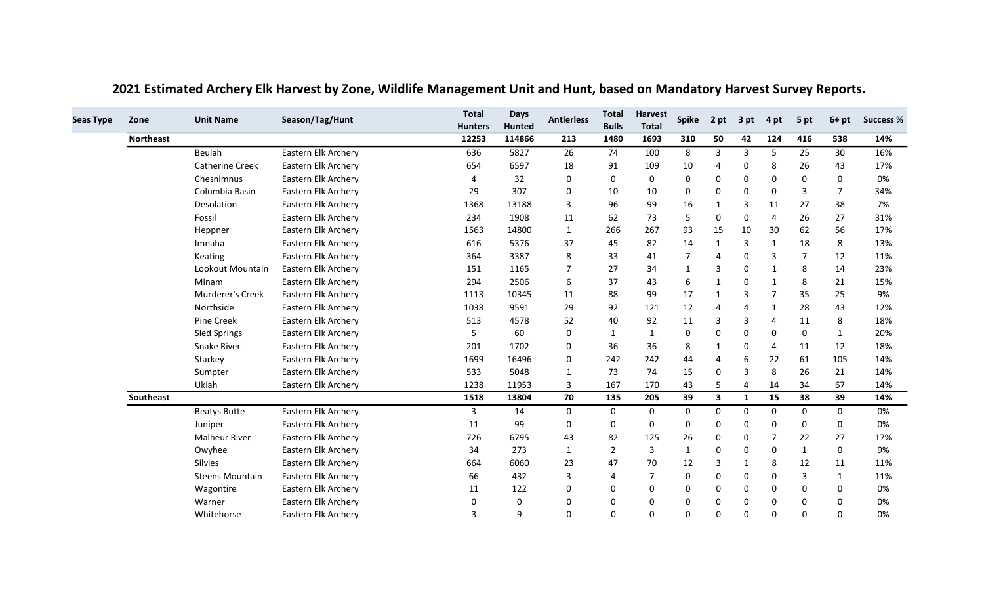| <b>Seas Type</b> | Zone             | <b>Unit Name</b>       | Season/Tag/Hunt     | <b>Total</b>   | <b>Days</b>   | <b>Antierless</b> | <b>Total</b><br><b>Bulls</b> | <b>Harvest</b> | <b>Spike</b>   | 2 pt                    | 3 pt         | 4 pt         | 5 pt           | $6+pt$         | <b>Success %</b> |
|------------------|------------------|------------------------|---------------------|----------------|---------------|-------------------|------------------------------|----------------|----------------|-------------------------|--------------|--------------|----------------|----------------|------------------|
|                  |                  |                        |                     | <b>Hunters</b> | <b>Hunted</b> |                   |                              | <b>Total</b>   |                |                         |              |              |                |                |                  |
|                  | <b>Northeast</b> |                        |                     | 12253          | 114866        | 213               | 1480                         | 1693           | 310            | 50                      | 42           | 124          | 416            | 538            | 14%              |
|                  |                  | Beulah                 | Eastern Elk Archery | 636            | 5827          | 26                | 74                           | 100            | 8              | 3                       | 3            | 5            | 25             | 30             | 16%              |
|                  |                  | <b>Catherine Creek</b> | Eastern Elk Archery | 654            | 6597          | 18                | 91                           | 109            | 10             |                         | 0            | 8            | 26             | 43             | 17%              |
|                  |                  | Chesnimnus             | Eastern Elk Archery | 4              | 32            | 0                 | 0                            | 0              | 0              | 0                       | 0            | $\Omega$     | 0              | 0              | 0%               |
|                  |                  | Columbia Basin         | Eastern Elk Archery | 29             | 307           | 0                 | 10                           | 10             | 0              | $\Omega$                | $\Omega$     | $\Omega$     | 3              | $\overline{7}$ | 34%              |
|                  |                  | Desolation             | Eastern Elk Archery | 1368           | 13188         | 3                 | 96                           | 99             | 16             | 1                       | 3            | 11           | 27             | 38             | 7%               |
|                  |                  | Fossil                 | Eastern Elk Archery | 234            | 1908          | 11                | 62                           | 73             | 5              | $\mathbf 0$             | 0            | 4            | 26             | 27             | 31%              |
|                  |                  | Heppner                | Eastern Elk Archery | 1563           | 14800         | $\mathbf{1}$      | 266                          | 267            | 93             | 15                      | 10           | 30           | 62             | 56             | 17%              |
|                  |                  | Imnaha                 | Eastern Elk Archery | 616            | 5376          | 37                | 45                           | 82             | 14             | -1                      | 3            | 1            | 18             | 8              | 13%              |
|                  |                  | Keating                | Eastern Elk Archery | 364            | 3387          | 8                 | 33                           | 41             | $\overline{7}$ | Δ                       | $\Omega$     | 3            | $\overline{7}$ | 12             | 11%              |
|                  |                  | Lookout Mountain       | Eastern Elk Archery | 151            | 1165          | 7                 | 27                           | 34             | 1              | 3                       | 0            | 1            | 8              | 14             | 23%              |
|                  |                  | Minam                  | Eastern Elk Archery | 294            | 2506          | 6                 | 37                           | 43             | 6              | $\mathbf{1}$            | 0            | $\mathbf{1}$ | 8              | 21             | 15%              |
|                  |                  | Murderer's Creek       | Eastern Elk Archery | 1113           | 10345         | 11                | 88                           | 99             | 17             | 1                       | 3            |              | 35             | 25             | 9%               |
|                  |                  | Northside              | Eastern Elk Archery | 1038           | 9591          | 29                | 92                           | 121            | 12             |                         | 4            | -1           | 28             | 43             | 12%              |
|                  |                  | Pine Creek             | Eastern Elk Archery | 513            | 4578          | 52                | 40                           | 92             | 11             | 3                       | 3            | Δ            | 11             | 8              | 18%              |
|                  |                  | Sled Springs           | Eastern Elk Archery | 5              | 60            | 0                 | 1                            | $\mathbf{1}$   | 0              | $\Omega$                | $\mathbf 0$  | 0            | 0              | $\mathbf{1}$   | 20%              |
|                  |                  | Snake River            | Eastern Elk Archery | 201            | 1702          | 0                 | 36                           | 36             | 8              | 1                       | 0            | 4            | 11             | 12             | 18%              |
|                  |                  | Starkey                | Eastern Elk Archery | 1699           | 16496         | 0                 | 242                          | 242            | 44             |                         | 6            | 22           | 61             | 105            | 14%              |
|                  |                  | Sumpter                | Eastern Elk Archery | 533            | 5048          | $\mathbf{1}$      | 73                           | 74             | 15             | $\mathbf 0$             | 3            | 8            | 26             | 21             | 14%              |
|                  |                  | Ukiah                  | Eastern Elk Archery | 1238           | 11953         | 3                 | 167                          | 170            | 43             | 5                       | 4            | 14           | 34             | 67             | 14%              |
|                  | <b>Southeast</b> |                        |                     | 1518           | 13804         | 70                | 135                          | 205            | 39             | $\overline{\mathbf{3}}$ | $\mathbf{1}$ | 15           | 38             | 39             | 14%              |
|                  |                  | <b>Beatys Butte</b>    | Eastern Elk Archery | 3              | 14            | $\mathbf 0$       | $\mathbf 0$                  | $\mathbf{0}$   | 0              | 0                       | 0            | 0            | 0              | $\mathbf 0$    | 0%               |
|                  |                  | Juniper                | Eastern Elk Archery | 11             | 99            | 0                 | 0                            | 0              | 0              | 0                       | 0            | $\Omega$     | $\Omega$       | 0              | 0%               |
|                  |                  | <b>Malheur River</b>   | Eastern Elk Archery | 726            | 6795          | 43                | 82                           | 125            | 26             | $\mathbf 0$             | 0            |              | 22             | 27             | 17%              |
|                  |                  | Owyhee                 | Eastern Elk Archery | 34             | 273           | $\mathbf{1}$      | $\overline{2}$               | 3              | $\mathbf{1}$   | $\Omega$                | 0            | $\mathbf{0}$ | 1              | $\mathbf 0$    | 9%               |
|                  |                  | <b>Silvies</b>         | Eastern Elk Archery | 664            | 6060          | 23                | 47                           | 70             | 12             | 3                       | $\mathbf 1$  | 8            | 12             | 11             | 11%              |
|                  |                  | <b>Steens Mountain</b> | Eastern Elk Archery | 66             | 432           | 3                 | $\overline{4}$               | $\overline{7}$ | 0              | 0                       | 0            | 0            | 3              | $\mathbf{1}$   | 11%              |
|                  |                  | Wagontire              | Eastern Elk Archery | 11             | 122           | 0                 | 0                            | 0              | 0              | $\mathbf 0$             | 0            | $\mathbf{0}$ | $\Omega$       | $\mathbf{0}$   | 0%               |
|                  |                  | Warner                 | Eastern Elk Archery | 0              | 0             | 0                 | 0                            | 0              | $\Omega$       | $\Omega$                | $\Omega$     | $\Omega$     | 0              | $\Omega$       | 0%               |
|                  |                  | Whitehorse             | Eastern Elk Archery | 3              | 9             | 0                 | 0                            | 0              | 0              | 0                       | O            | O            | $\Omega$       | $\Omega$       | 0%               |